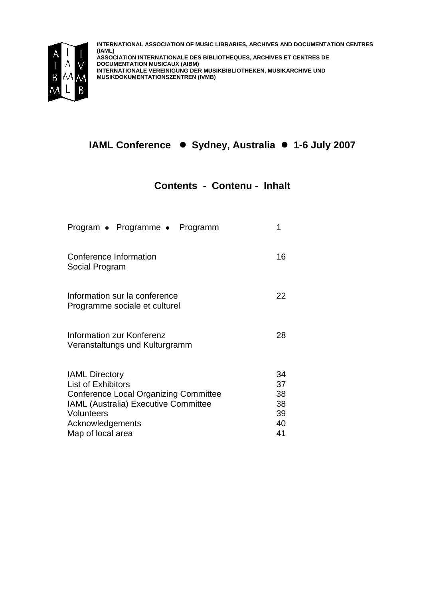

**INTERNATIONAL ASSOCIATION OF MUSIC LIBRARIES, ARCHIVES AND DOCUMENTATION CENTRES (IAML) ASSOCIATION INTERNATIONALE DES BIBLIOTHEQUES, ARCHIVES ET CENTRES DE DOCUMENTATION MUSICAUX (AIBM) INTERNATIONALE VEREINIGUNG DER MUSIKBIBLIOTHEKEN, MUSIKARCHIVE UND MUSIKDOKUMENTATIONSZENTREN (IVMB)**

## **IAML Conference ● Sydney, Australia ● 1-6 July 2007**

## **Contents - Contenu - Inhalt**

| Program • Programme • Programm                                                                                                                                                                           | 1                                      |
|----------------------------------------------------------------------------------------------------------------------------------------------------------------------------------------------------------|----------------------------------------|
| Conference Information<br>Social Program                                                                                                                                                                 | 16                                     |
| Information sur la conference<br>Programme sociale et culturel                                                                                                                                           | 22                                     |
| Information zur Konferenz<br>Veranstaltungs und Kulturgramm                                                                                                                                              | 28                                     |
| <b>IAML Directory</b><br><b>List of Exhibitors</b><br><b>Conference Local Organizing Committee</b><br>IAML (Australia) Executive Committee<br><b>Volunteers</b><br>Acknowledgements<br>Map of local area | 34<br>37<br>38<br>38<br>39<br>40<br>41 |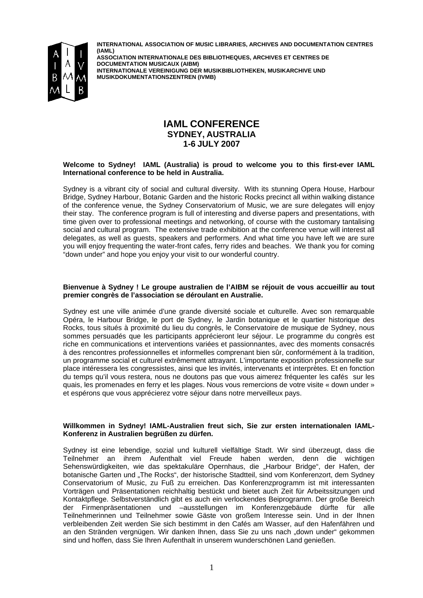

**INTERNATIONAL ASSOCIATION OF MUSIC LIBRARIES, ARCHIVES AND DOCUMENTATION CENTRES (IAML) ASSOCIATION INTERNATIONALE DES BIBLIOTHEQUES, ARCHIVES ET CENTRES DE** 

**DOCUMENTATION MUSICAUX (AIBM) INTERNATIONALE VEREINIGUNG DER MUSIKBIBLIOTHEKEN, MUSIKARCHIVE UND MUSIKDOKUMENTATIONSZENTREN (IVMB)**

## **IAML CONFERENCE SYDNEY, AUSTRALIA 1-6 JULY 2007**

#### **Welcome to Sydney! IAML (Australia) is proud to welcome you to this first-ever IAML International conference to be held in Australia.**

Sydney is a vibrant city of social and cultural diversity. With its stunning Opera House, Harbour Bridge, Sydney Harbour, Botanic Garden and the historic Rocks precinct all within walking distance of the conference venue, the Sydney Conservatorium of Music, we are sure delegates will enjoy their stay. The conference program is full of interesting and diverse papers and presentations, with time given over to professional meetings and networking, of course with the customary tantalising social and cultural program. The extensive trade exhibition at the conference venue will interest all delegates, as well as guests, speakers and performers. And what time you have left we are sure you will enjoy frequenting the water-front cafes, ferry rides and beaches. We thank you for coming "down under" and hope you enjoy your visit to our wonderful country.

#### **Bienvenue à Sydney ! Le groupe australien de l'AIBM se réjouit de vous accueillir au tout premier congrès de l'association se déroulant en Australie.**

Sydney est une ville animée d'une grande diversité sociale et culturelle. Avec son remarquable Opéra, le Harbour Bridge, le port de Sydney, le Jardin botanique et le quartier historique des Rocks, tous situés à proximité du lieu du congrès, le Conservatoire de musique de Sydney, nous sommes persuadés que les participants apprécieront leur séjour. Le programme du congrès est riche en communications et interventions variées et passionnantes, avec des moments consacrés à des rencontres professionnelles et informelles comprenant bien sûr, conformément à la tradition, un programme social et culturel extrêmement attrayant. L'importante exposition professionnelle sur place intéressera les congressistes, ainsi que les invités, intervenants et interprètes. Et en fonction du temps qu'il vous restera, nous ne doutons pas que vous aimerez fréquenter les cafés sur les quais, les promenades en ferry et les plages. Nous vous remercions de votre visite « down under » et espérons que vous apprécierez votre séjour dans notre merveilleux pays.

#### **Willkommen in Sydney! IAML-Australien freut sich, Sie zur ersten internationalen IAML-Konferenz in Australien begrüßen zu dürfen.**

Sydney ist eine lebendige, sozial und kulturell vielfältige Stadt. Wir sind überzeugt, dass die Teilnehmer an ihrem Aufenthalt viel Freude haben werden, denn die wichtigen Sehenswürdigkeiten, wie das spektakuläre Opernhaus, die "Harbour Bridge", der Hafen, der botanische Garten und "The Rocks", der historische Stadtteil, sind vom Konferenzort, dem Sydney Conservatorium of Music, zu Fuß zu erreichen. Das Konferenzprogramm ist mit interessanten Vorträgen und Präsentationen reichhaltig bestückt und bietet auch Zeit für Arbeitssitzungen und Kontaktpflege. Selbstverständlich gibt es auch ein verlockendes Beiprogramm. Der große Bereich der Firmenpräsentationen und –ausstellungen im Konferenzgebäude dürfte für alle Teilnehmerinnen und Teilnehmer sowie Gäste von großem Interesse sein. Und in der Ihnen verbleibenden Zeit werden Sie sich bestimmt in den Cafés am Wasser, auf den Hafenfähren und an den Stränden vergnügen. Wir danken Ihnen, dass Sie zu uns nach "down under" gekommen sind und hoffen, dass Sie Ihren Aufenthalt in unserem wunderschönen Land genießen.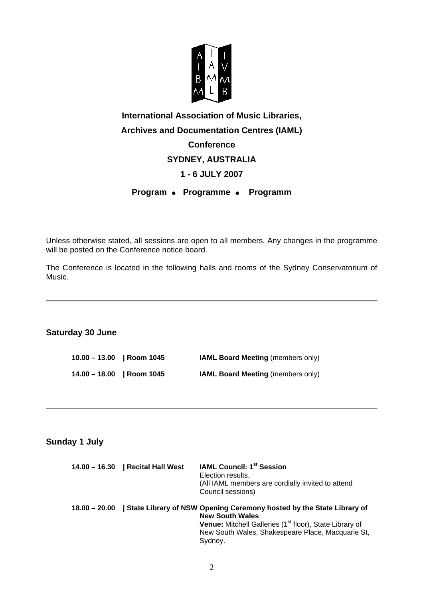

# **International Association of Music Libraries, Archives and Documentation Centres (IAML) Conference SYDNEY, AUSTRALIA 1 - 6 JULY 2007 Program • Programme • Programm**

Unless otherwise stated, all sessions are open to all members. Any changes in the programme will be posted on the Conference notice board.

The Conference is located in the following halls and rooms of the Sydney Conservatorium of Music.

## **Saturday 30 June**

**10.00 – 13.00 | Room 1045 IAML Board Meeting** (members only) **14.00 – 18.00 | Room 1045 IAML Board Meeting** (members only)

## **Sunday 1 July**

|                 | 14.00 – 16.30   Recital Hall West | <b>IAML Council: 1st Session</b><br>Election results.<br>(All IAML members are cordially invited to attend<br>Council sessions)                                                                                                       |
|-----------------|-----------------------------------|---------------------------------------------------------------------------------------------------------------------------------------------------------------------------------------------------------------------------------------|
| $18.00 - 20.00$ |                                   | State Library of NSW Opening Ceremony hosted by the State Library of<br><b>New South Wales</b><br>Venue: Mitchell Galleries (1 <sup>st</sup> floor), State Library of<br>New South Wales, Shakespeare Place, Macquarie St,<br>Sydney. |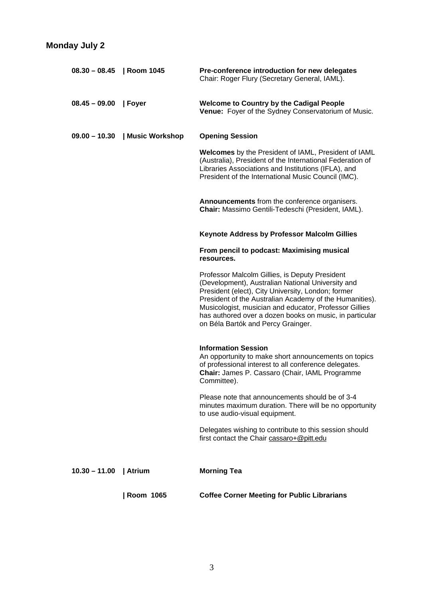| $08.30 - 08.45$   Room 1045 |                  | Pre-conference introduction for new delegates<br>Chair: Roger Flury (Secretary General, IAML).                                                                                                                                                                                                                                                                                  |
|-----------------------------|------------------|---------------------------------------------------------------------------------------------------------------------------------------------------------------------------------------------------------------------------------------------------------------------------------------------------------------------------------------------------------------------------------|
| $08.45 - 09.00$             | Foyer            | <b>Welcome to Country by the Cadigal People</b><br>Venue: Foyer of the Sydney Conservatorium of Music.                                                                                                                                                                                                                                                                          |
| $09.00 - 10.30$             | Music Workshop   | <b>Opening Session</b>                                                                                                                                                                                                                                                                                                                                                          |
|                             |                  | Welcomes by the President of IAML, President of IAML<br>(Australia), President of the International Federation of<br>Libraries Associations and Institutions (IFLA), and<br>President of the International Music Council (IMC).                                                                                                                                                 |
|                             |                  | Announcements from the conference organisers.<br>Chair: Massimo Gentili-Tedeschi (President, IAML).                                                                                                                                                                                                                                                                             |
|                             |                  | <b>Keynote Address by Professor Malcolm Gillies</b>                                                                                                                                                                                                                                                                                                                             |
|                             |                  | From pencil to podcast: Maximising musical<br>resources.                                                                                                                                                                                                                                                                                                                        |
|                             |                  | Professor Malcolm Gillies, is Deputy President<br>(Development), Australian National University and<br>President (elect), City University, London; former<br>President of the Australian Academy of the Humanities).<br>Musicologist, musician and educator, Professor Gillies<br>has authored over a dozen books on music, in particular<br>on Béla Bartók and Percy Grainger. |
|                             |                  | <b>Information Session</b><br>An opportunity to make short announcements on topics<br>of professional interest to all conference delegates.<br>Chair: James P. Cassaro (Chair, IAML Programme<br>Committee).                                                                                                                                                                    |
|                             |                  | Please note that announcements should be of 3-4<br>minutes maximum duration. There will be no opportunity<br>to use audio-visual equipment.                                                                                                                                                                                                                                     |
|                             |                  | Delegates wishing to contribute to this session should<br>first contact the Chair cassaro+@pitt.edu                                                                                                                                                                                                                                                                             |
| $10.30 - 11.00$             | Atrium           | <b>Morning Tea</b>                                                                                                                                                                                                                                                                                                                                                              |
|                             | <b>Room 1065</b> | <b>Coffee Corner Meeting for Public Librarians</b>                                                                                                                                                                                                                                                                                                                              |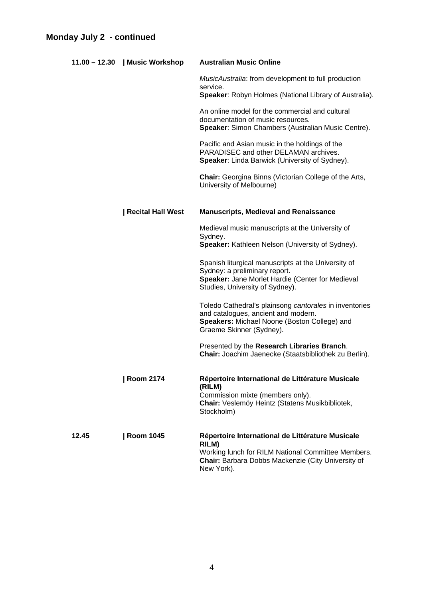|       | 11.00 - 12.30   Music Workshop | <b>Australian Music Online</b>                                                                                                                                                      |
|-------|--------------------------------|-------------------------------------------------------------------------------------------------------------------------------------------------------------------------------------|
|       |                                | MusicAustralia: from development to full production<br>service.<br>Speaker: Robyn Holmes (National Library of Australia).                                                           |
|       |                                | An online model for the commercial and cultural<br>documentation of music resources.<br>Speaker: Simon Chambers (Australian Music Centre).                                          |
|       |                                | Pacific and Asian music in the holdings of the<br>PARADISEC and other DELAMAN archives.<br>Speaker: Linda Barwick (University of Sydney).                                           |
|       |                                | <b>Chair:</b> Georgina Binns (Victorian College of the Arts,<br>University of Melbourne)                                                                                            |
|       | <b>Recital Hall West</b>       | <b>Manuscripts, Medieval and Renaissance</b>                                                                                                                                        |
|       |                                | Medieval music manuscripts at the University of<br>Sydney.<br>Speaker: Kathleen Nelson (University of Sydney).                                                                      |
|       |                                | Spanish liturgical manuscripts at the University of<br>Sydney: a preliminary report.<br>Speaker: Jane Morlet Hardie (Center for Medieval<br>Studies, University of Sydney).         |
|       |                                | Toledo Cathedral's plainsong cantorales in inventories<br>and catalogues, ancient and modern.<br>Speakers: Michael Noone (Boston College) and<br>Graeme Skinner (Sydney).           |
|       |                                | Presented by the Research Libraries Branch.<br>Chair: Joachim Jaenecke (Staatsbibliothek zu Berlin).                                                                                |
|       | <b>Room 2174</b>               | Répertoire International de Littérature Musicale<br>(RILM)<br>Commission mixte (members only).<br>Chair: Veslemöy Heintz (Statens Musikbibliotek,<br>Stockholm)                     |
| 12.45 | <b>Room 1045</b>               | Répertoire International de Littérature Musicale<br>RILM)<br>Working lunch for RILM National Committee Members.<br>Chair: Barbara Dobbs Mackenzie (City University of<br>New York). |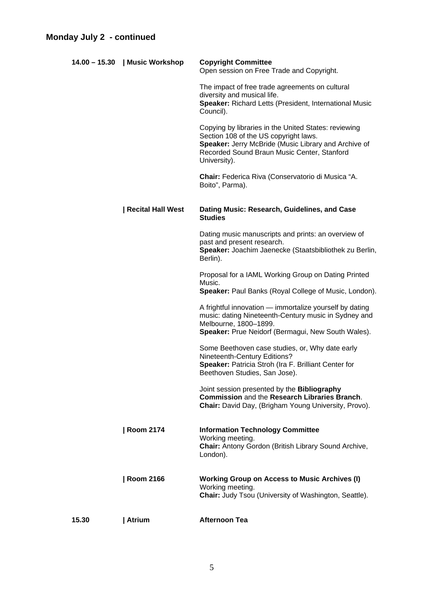|       | 14.00 - 15.30   Music Workshop | <b>Copyright Committee</b><br>Open session on Free Trade and Copyright.                                                                                                                                              |
|-------|--------------------------------|----------------------------------------------------------------------------------------------------------------------------------------------------------------------------------------------------------------------|
|       |                                | The impact of free trade agreements on cultural<br>diversity and musical life.<br>Speaker: Richard Letts (President, International Music<br>Council).                                                                |
|       |                                | Copying by libraries in the United States: reviewing<br>Section 108 of the US copyright laws.<br>Speaker: Jerry McBride (Music Library and Archive of<br>Recorded Sound Braun Music Center, Stanford<br>University). |
|       |                                | Chair: Federica Riva (Conservatorio di Musica "A.<br>Boito", Parma).                                                                                                                                                 |
|       | <b>Recital Hall West</b>       | Dating Music: Research, Guidelines, and Case<br><b>Studies</b>                                                                                                                                                       |
|       |                                | Dating music manuscripts and prints: an overview of<br>past and present research.<br>Speaker: Joachim Jaenecke (Staatsbibliothek zu Berlin,<br>Berlin).                                                              |
|       |                                | Proposal for a IAML Working Group on Dating Printed<br>Music.<br>Speaker: Paul Banks (Royal College of Music, London).                                                                                               |
|       |                                | A frightful innovation — immortalize yourself by dating<br>music: dating Nineteenth-Century music in Sydney and<br>Melbourne, 1800-1899.<br>Speaker: Prue Neidorf (Bermagui, New South Wales).                       |
|       |                                | Some Beethoven case studies, or, Why date early<br>Nineteenth-Century Editions?<br>Speaker: Patricia Stroh (Ira F. Brilliant Center for<br>Beethoven Studies, San Jose).                                             |
|       |                                | Joint session presented by the <b>Bibliography</b><br>Commission and the Research Libraries Branch.<br>Chair: David Day, (Brigham Young University, Provo).                                                          |
|       | <b>Room 2174</b>               | <b>Information Technology Committee</b><br>Working meeting.<br>Chair: Antony Gordon (British Library Sound Archive,<br>London).                                                                                      |
|       | <b>Room 2166</b>               | <b>Working Group on Access to Music Archives (I)</b><br>Working meeting.<br>Chair: Judy Tsou (University of Washington, Seattle).                                                                                    |
| 15.30 | Atrium                         | <b>Afternoon Tea</b>                                                                                                                                                                                                 |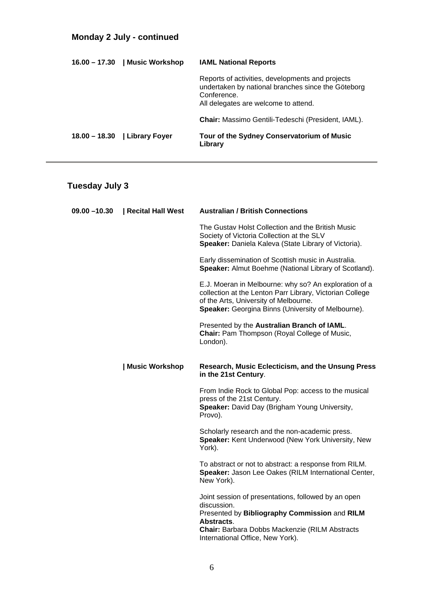## **Monday 2 July - continued**

| 16.00 – 17.30   Music Workshop  | <b>IAML National Reports</b>                                                                                                                                  |
|---------------------------------|---------------------------------------------------------------------------------------------------------------------------------------------------------------|
|                                 | Reports of activities, developments and projects<br>undertaken by national branches since the Göteborg<br>Conference.<br>All delegates are welcome to attend. |
|                                 | <b>Chair:</b> Massimo Gentili-Tedeschi (President, IAML).                                                                                                     |
| $18.00 - 18.30$   Library Foyer | Tour of the Sydney Conservatorium of Music<br>Library                                                                                                         |

# **Tuesday July 3**

| $09.00 - 10.30$ | Recital Hall West | <b>Australian / British Connections</b>                                                                                                                                                                          |
|-----------------|-------------------|------------------------------------------------------------------------------------------------------------------------------------------------------------------------------------------------------------------|
|                 |                   | The Gustav Holst Collection and the British Music<br>Society of Victoria Collection at the SLV<br>Speaker: Daniela Kaleva (State Library of Victoria).                                                           |
|                 |                   | Early dissemination of Scottish music in Australia.<br>Speaker: Almut Boehme (National Library of Scotland).                                                                                                     |
|                 |                   | E.J. Moeran in Melbourne: why so? An exploration of a<br>collection at the Lenton Parr Library, Victorian College<br>of the Arts, University of Melbourne.<br>Speaker: Georgina Binns (University of Melbourne). |
|                 |                   | Presented by the Australian Branch of IAML.<br>Chair: Pam Thompson (Royal College of Music,<br>London).                                                                                                          |
|                 | Music Workshop    | Research, Music Eclecticism, and the Unsung Press<br>in the 21st Century.                                                                                                                                        |
|                 |                   | From Indie Rock to Global Pop: access to the musical<br>press of the 21st Century.<br>Speaker: David Day (Brigham Young University,<br>Provo).                                                                   |
|                 |                   | Scholarly research and the non-academic press.<br>Speaker: Kent Underwood (New York University, New<br>York).                                                                                                    |
|                 |                   | To abstract or not to abstract: a response from RILM.<br>Speaker: Jason Lee Oakes (RILM International Center,<br>New York).                                                                                      |
|                 |                   | Joint session of presentations, followed by an open<br>discussion.                                                                                                                                               |
|                 |                   | Presented by Bibliography Commission and RILM<br>Abstracts.<br><b>Chair: Barbara Dobbs Mackenzie (RILM Abstracts</b><br>International Office, New York).                                                         |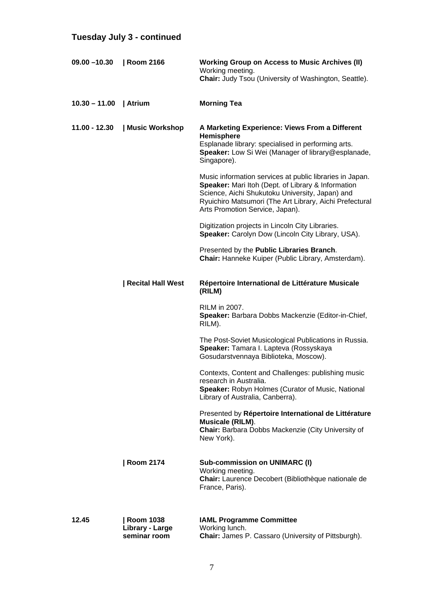# **Tuesday July 3 - continued**

| $09.00 - 10.30$ | Room 2166                                           | <b>Working Group on Access to Music Archives (II)</b><br>Working meeting.<br><b>Chair: Judy Tsou (University of Washington, Seattle).</b>                                                                                                                       |
|-----------------|-----------------------------------------------------|-----------------------------------------------------------------------------------------------------------------------------------------------------------------------------------------------------------------------------------------------------------------|
| $10.30 - 11.00$ | Atrium                                              | <b>Morning Tea</b>                                                                                                                                                                                                                                              |
| $11.00 - 12.30$ | Music Workshop                                      | A Marketing Experience: Views From a Different<br>Hemisphere<br>Esplanade library: specialised in performing arts.<br>Speaker: Low Si Wei (Manager of library@esplanade,<br>Singapore).                                                                         |
|                 |                                                     | Music information services at public libraries in Japan.<br>Speaker: Mari Itoh (Dept. of Library & Information<br>Science, Aichi Shukutoku University, Japan) and<br>Ryuichiro Matsumori (The Art Library, Aichi Prefectural<br>Arts Promotion Service, Japan). |
|                 |                                                     | Digitization projects in Lincoln City Libraries.<br>Speaker: Carolyn Dow (Lincoln City Library, USA).                                                                                                                                                           |
|                 |                                                     | Presented by the Public Libraries Branch.<br>Chair: Hanneke Kuiper (Public Library, Amsterdam).                                                                                                                                                                 |
|                 | <b>Recital Hall West</b>                            | Répertoire International de Littérature Musicale<br>(RILM)                                                                                                                                                                                                      |
|                 |                                                     | RILM in 2007.<br>Speaker: Barbara Dobbs Mackenzie (Editor-in-Chief,<br>RILM).                                                                                                                                                                                   |
|                 |                                                     | The Post-Soviet Musicological Publications in Russia.<br>Speaker: Tamara I. Lapteva (Rossyskaya<br>Gosudarstvennaya Biblioteka, Moscow).                                                                                                                        |
|                 |                                                     | Contexts, Content and Challenges: publishing music<br>research in Australia.<br>Speaker: Robyn Holmes (Curator of Music, National<br>Library of Australia, Canberra).                                                                                           |
|                 |                                                     | Presented by Répertoire International de Littérature<br>Musicale (RILM).<br><b>Chair:</b> Barbara Dobbs Mackenzie (City University of<br>New York).                                                                                                             |
|                 | <b>Room 2174</b>                                    | <b>Sub-commission on UNIMARC (I)</b><br>Working meeting.<br>Chair: Laurence Decobert (Bibliothèque nationale de<br>France, Paris).                                                                                                                              |
| 12.45           | <b>Room 1038</b><br>Library - Large<br>seminar room | <b>IAML Programme Committee</b><br>Working lunch.<br>Chair: James P. Cassaro (University of Pittsburgh).                                                                                                                                                        |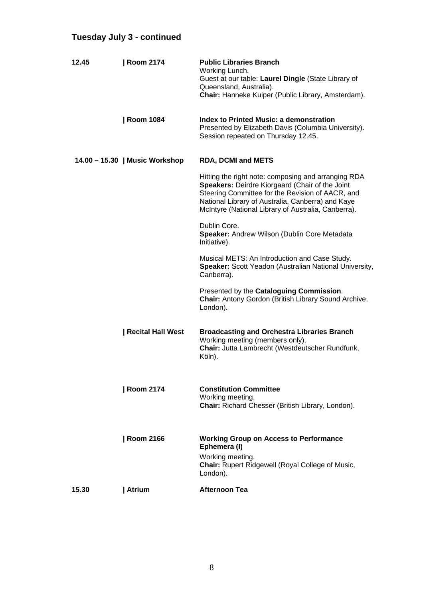# **Tuesday July 3 - continued**

| 12.45 | <b>Room 2174</b>               | <b>Public Libraries Branch</b><br>Working Lunch.<br>Guest at our table: Laurel Dingle (State Library of<br>Queensland, Australia).<br>Chair: Hanneke Kuiper (Public Library, Amsterdam).                                                                               |
|-------|--------------------------------|------------------------------------------------------------------------------------------------------------------------------------------------------------------------------------------------------------------------------------------------------------------------|
|       | <b>Room 1084</b>               | Index to Printed Music: a demonstration<br>Presented by Elizabeth Davis (Columbia University).<br>Session repeated on Thursday 12.45.                                                                                                                                  |
|       | 14.00 - 15.30   Music Workshop | <b>RDA, DCMI and METS</b>                                                                                                                                                                                                                                              |
|       |                                | Hitting the right note: composing and arranging RDA<br>Speakers: Deirdre Kiorgaard (Chair of the Joint<br>Steering Committee for the Revision of AACR, and<br>National Library of Australia, Canberra) and Kaye<br>McIntyre (National Library of Australia, Canberra). |
|       |                                | Dublin Core.<br>Speaker: Andrew Wilson (Dublin Core Metadata<br>Initiative).                                                                                                                                                                                           |
|       |                                | Musical METS: An Introduction and Case Study.<br>Speaker: Scott Yeadon (Australian National University,<br>Canberra).                                                                                                                                                  |
|       |                                | Presented by the Cataloguing Commission.<br>Chair: Antony Gordon (British Library Sound Archive,<br>London).                                                                                                                                                           |
|       | <b>Recital Hall West</b>       | <b>Broadcasting and Orchestra Libraries Branch</b><br>Working meeting (members only).<br>Chair: Jutta Lambrecht (Westdeutscher Rundfunk,<br>Köln).                                                                                                                     |
|       | <b>Room 2174</b>               | <b>Constitution Committee</b><br>Working meeting.<br>Chair: Richard Chesser (British Library, London).                                                                                                                                                                 |
|       | <b>Room 2166</b>               | <b>Working Group on Access to Performance</b><br>Ephemera (I)<br>Working meeting.<br><b>Chair:</b> Rupert Ridgewell (Royal College of Music,<br>London).                                                                                                               |
| 15.30 | Atrium                         | <b>Afternoon Tea</b>                                                                                                                                                                                                                                                   |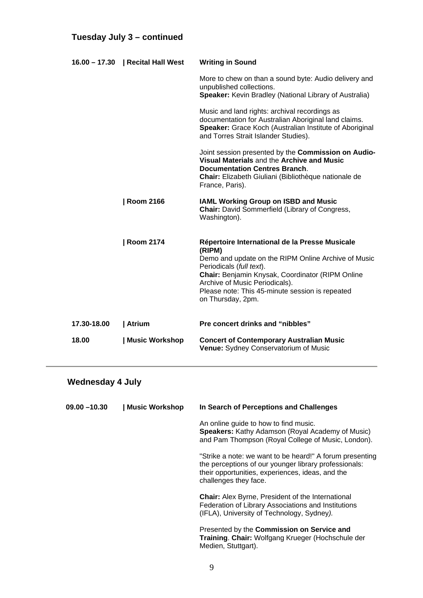## **Tuesday July 3 – continued**

|             | 16.00 - 17.30   Recital Hall West | <b>Writing in Sound</b>                                                                                                                                                                                                                                                                                   |
|-------------|-----------------------------------|-----------------------------------------------------------------------------------------------------------------------------------------------------------------------------------------------------------------------------------------------------------------------------------------------------------|
|             |                                   | More to chew on than a sound byte: Audio delivery and<br>unpublished collections.<br><b>Speaker:</b> Kevin Bradley (National Library of Australia)                                                                                                                                                        |
|             |                                   | Music and land rights: archival recordings as<br>documentation for Australian Aboriginal land claims.<br>Speaker: Grace Koch (Australian Institute of Aboriginal<br>and Torres Strait Islander Studies).                                                                                                  |
|             |                                   | Joint session presented by the Commission on Audio-<br>Visual Materials and the Archive and Music<br><b>Documentation Centres Branch.</b><br>Chair: Elizabeth Giuliani (Bibliothèque nationale de<br>France, Paris).                                                                                      |
|             | <b>Room 2166</b>                  | <b>IAML Working Group on ISBD and Music</b><br><b>Chair:</b> David Sommerfield (Library of Congress,<br>Washington).                                                                                                                                                                                      |
|             | <b>Room 2174</b>                  | Répertoire International de la Presse Musicale<br>(RIPM)<br>Demo and update on the RIPM Online Archive of Music<br>Periodicals (full text).<br>Chair: Benjamin Knysak, Coordinator (RIPM Online<br>Archive of Music Periodicals).<br>Please note: This 45-minute session is repeated<br>on Thursday, 2pm. |
| 17.30-18.00 | Atrium                            | <b>Pre concert drinks and "nibbles"</b>                                                                                                                                                                                                                                                                   |
| 18.00       | Music Workshop                    | <b>Concert of Contemporary Australian Music</b><br>Venue: Sydney Conservatorium of Music                                                                                                                                                                                                                  |

# **Wednesday 4 July**

| $09.00 - 10.30$ | <b>Music Workshop</b> | In Search of Perceptions and Challenges                                                                                                                                                        |
|-----------------|-----------------------|------------------------------------------------------------------------------------------------------------------------------------------------------------------------------------------------|
|                 |                       | An online guide to how to find music.<br><b>Speakers:</b> Kathy Adamson (Royal Academy of Music)<br>and Pam Thompson (Royal College of Music, London).                                         |
|                 |                       | "Strike a note: we want to be heard!" A forum presenting<br>the perceptions of our younger library professionals:<br>their opportunities, experiences, ideas, and the<br>challenges they face. |
|                 |                       | <b>Chair:</b> Alex Byrne, President of the International<br>Federation of Library Associations and Institutions<br>(IFLA), University of Technology, Sydney).                                  |
|                 |                       | Presented by the Commission on Service and<br>Training. Chair: Wolfgang Krueger (Hochschule der<br>Medien, Stuttgart).                                                                         |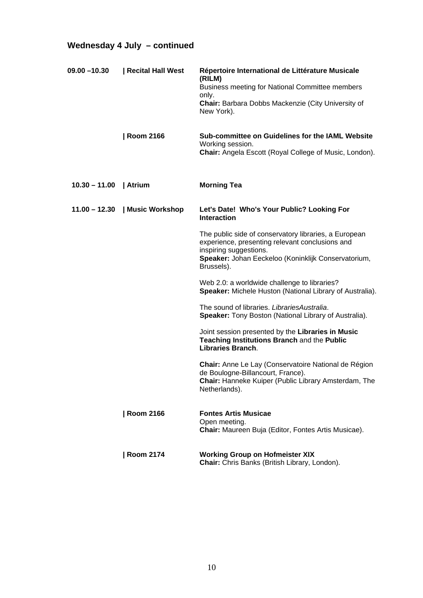# **Wednesday 4 July – continued**

| $09.00 - 10.30$ | Recital Hall West              | Répertoire International de Littérature Musicale<br>(RILM)<br>Business meeting for National Committee members<br>only.<br><b>Chair:</b> Barbara Dobbs Mackenzie (City University of<br>New York).       |
|-----------------|--------------------------------|---------------------------------------------------------------------------------------------------------------------------------------------------------------------------------------------------------|
|                 | <b>Room 2166</b>               | Sub-committee on Guidelines for the IAML Website<br>Working session.<br>Chair: Angela Escott (Royal College of Music, London).                                                                          |
| $10.30 - 11.00$ | Atrium                         | <b>Morning Tea</b>                                                                                                                                                                                      |
|                 | 11.00 - 12.30   Music Workshop | Let's Date! Who's Your Public? Looking For<br><b>Interaction</b>                                                                                                                                        |
|                 |                                | The public side of conservatory libraries, a European<br>experience, presenting relevant conclusions and<br>inspiring suggestions.<br>Speaker: Johan Eeckeloo (Koninklijk Conservatorium,<br>Brussels). |
|                 |                                | Web 2.0: a worldwide challenge to libraries?<br>Speaker: Michele Huston (National Library of Australia).                                                                                                |
|                 |                                | The sound of libraries. LibrariesAustralia.<br>Speaker: Tony Boston (National Library of Australia).                                                                                                    |
|                 |                                | Joint session presented by the Libraries in Music<br>Teaching Institutions Branch and the Public<br>Libraries Branch.                                                                                   |
|                 |                                | Chair: Anne Le Lay (Conservatoire National de Région<br>de Boulogne-Billancourt, France).<br>Chair: Hanneke Kuiper (Public Library Amsterdam, The<br>Netherlands).                                      |
|                 | <b>Room 2166</b>               | <b>Fontes Artis Musicae</b><br>Open meeting.<br>Chair: Maureen Buja (Editor, Fontes Artis Musicae).                                                                                                     |
|                 | <b>Room 2174</b>               | <b>Working Group on Hofmeister XIX</b>                                                                                                                                                                  |

 **Chair:** Chris Banks (British Library, London).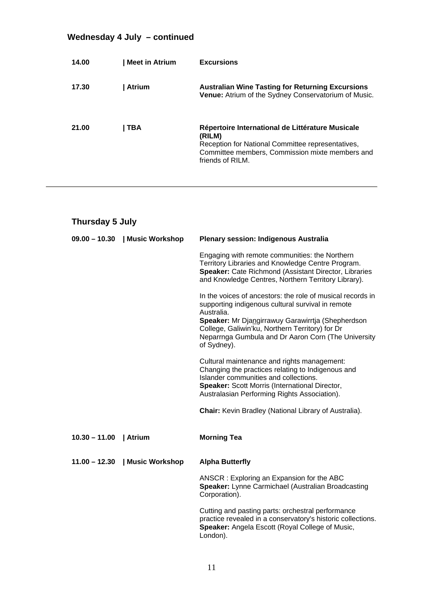# **Wednesday 4 July – continued**

| 14.00 | <b>Meet in Atrium</b> | <b>Excursions</b>                                                                                                                                                                      |
|-------|-----------------------|----------------------------------------------------------------------------------------------------------------------------------------------------------------------------------------|
| 17.30 | <b>Atrium</b>         | <b>Australian Wine Tasting for Returning Excursions</b><br>Venue: Atrium of the Sydney Conservatorium of Music.                                                                        |
| 21.00 | TBA                   | Répertoire International de Littérature Musicale<br>(RILM)<br>Reception for National Committee representatives,<br>Committee members, Commission mixte members and<br>friends of RILM. |

| Thursday 5 July        |                                |                                                                                                                                                                                                                                                                                                             |  |
|------------------------|--------------------------------|-------------------------------------------------------------------------------------------------------------------------------------------------------------------------------------------------------------------------------------------------------------------------------------------------------------|--|
|                        | 09.00 - 10.30   Music Workshop | <b>Plenary session: Indigenous Australia</b>                                                                                                                                                                                                                                                                |  |
|                        |                                | Engaging with remote communities: the Northern<br>Territory Libraries and Knowledge Centre Program.<br>Speaker: Cate Richmond (Assistant Director, Libraries<br>and Knowledge Centres, Northern Territory Library).                                                                                         |  |
|                        |                                | In the voices of ancestors: the role of musical records in<br>supporting indigenous cultural survival in remote<br>Australia.<br>Speaker: Mr Djangirrawuy Garawirrtja (Shepherdson<br>College, Galiwin'ku, Northern Territory) for Dr<br>Neparrnga Gumbula and Dr Aaron Corn (The University<br>of Sydney). |  |
|                        |                                | Cultural maintenance and rights management:<br>Changing the practices relating to Indigenous and<br>Islander communities and collections.<br>Speaker: Scott Morris (International Director,<br>Australasian Performing Rights Association).                                                                 |  |
|                        |                                | <b>Chair:</b> Kevin Bradley (National Library of Australia).                                                                                                                                                                                                                                                |  |
| 10.30 - 11.00   Atrium |                                | <b>Morning Tea</b>                                                                                                                                                                                                                                                                                          |  |
|                        | 11.00 - 12.30   Music Workshop | <b>Alpha Butterfly</b>                                                                                                                                                                                                                                                                                      |  |
|                        |                                | ANSCR: Exploring an Expansion for the ABC<br>Speaker: Lynne Carmichael (Australian Broadcasting<br>Corporation).                                                                                                                                                                                            |  |
|                        |                                | Cutting and pasting parts: orchestral performance<br>practice revealed in a conservatory's historic collections.<br>Speaker: Angela Escott (Royal College of Music,<br>London).                                                                                                                             |  |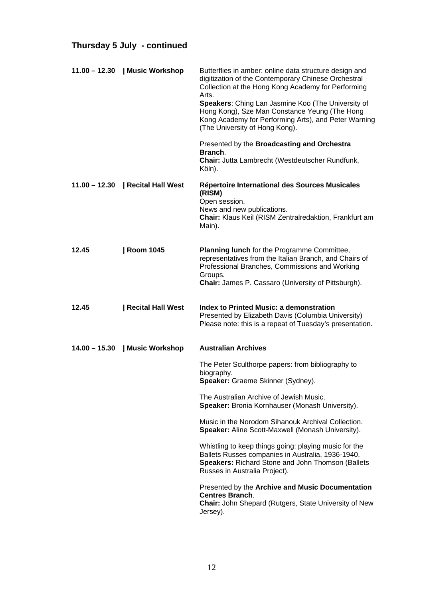# **Thursday 5 July - continued**

| $11.00 - 12.30$ | Music Workshop           | Butterflies in amber: online data structure design and<br>digitization of the Contemporary Chinese Orchestral<br>Collection at the Hong Kong Academy for Performing<br>Arts.<br>Speakers: Ching Lan Jasmine Koo (The University of<br>Hong Kong), Sze Man Constance Yeung (The Hong<br>Kong Academy for Performing Arts), and Peter Warning<br>(The University of Hong Kong).<br>Presented by the Broadcasting and Orchestra |
|-----------------|--------------------------|------------------------------------------------------------------------------------------------------------------------------------------------------------------------------------------------------------------------------------------------------------------------------------------------------------------------------------------------------------------------------------------------------------------------------|
|                 |                          | Branch.<br><b>Chair: Jutta Lambrecht (Westdeutscher Rundfunk,</b><br>Köln).                                                                                                                                                                                                                                                                                                                                                  |
| $11.00 - 12.30$ | Recital Hall West        | Répertoire International des Sources Musicales<br>(RISM)<br>Open session.<br>News and new publications.<br>Chair: Klaus Keil (RISM Zentralredaktion, Frankfurt am<br>Main).                                                                                                                                                                                                                                                  |
| 12.45           | <b>Room 1045</b>         | <b>Planning lunch</b> for the Programme Committee,<br>representatives from the Italian Branch, and Chairs of<br>Professional Branches, Commissions and Working<br>Groups.<br>Chair: James P. Cassaro (University of Pittsburgh).                                                                                                                                                                                             |
| 12.45           | <b>Recital Hall West</b> | <b>Index to Printed Music: a demonstration</b><br>Presented by Elizabeth Davis (Columbia University)<br>Please note: this is a repeat of Tuesday's presentation.                                                                                                                                                                                                                                                             |
| $14.00 - 15.30$ | Music Workshop           | <b>Australian Archives</b>                                                                                                                                                                                                                                                                                                                                                                                                   |
|                 |                          | The Peter Sculthorpe papers: from bibliography to<br>biography.<br>Speaker: Graeme Skinner (Sydney).                                                                                                                                                                                                                                                                                                                         |
|                 |                          | The Australian Archive of Jewish Music.<br>Speaker: Bronia Kornhauser (Monash University).                                                                                                                                                                                                                                                                                                                                   |
|                 |                          | Music in the Norodom Sihanouk Archival Collection.<br>Speaker: Aline Scott-Maxwell (Monash University).                                                                                                                                                                                                                                                                                                                      |
|                 |                          | Whistling to keep things going: playing music for the<br>Ballets Russes companies in Australia, 1936-1940.<br>Speakers: Richard Stone and John Thomson (Ballets<br>Russes in Australia Project).                                                                                                                                                                                                                             |
|                 |                          | Presented by the Archive and Music Documentation<br><b>Centres Branch.</b><br>Chair: John Shepard (Rutgers, State University of New<br>Jersey).                                                                                                                                                                                                                                                                              |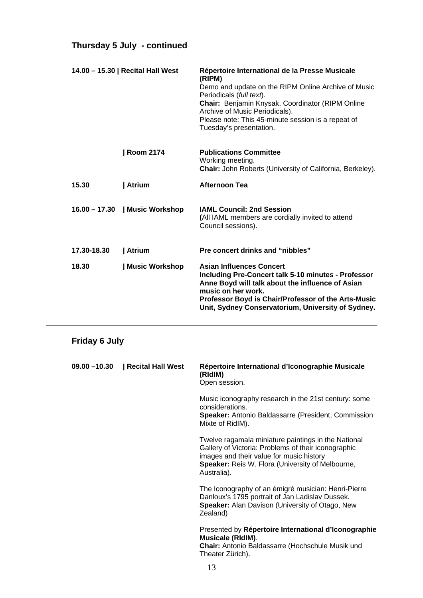# **Thursday 5 July - continued**

| 14.00 - 15.30   Recital Hall West |                                | Répertoire International de la Presse Musicale<br>(RIPM)<br>Demo and update on the RIPM Online Archive of Music<br>Periodicals (full text).<br>Chair: Benjamin Knysak, Coordinator (RIPM Online<br>Archive of Music Periodicals).<br>Please note: This 45-minute session is a repeat of<br>Tuesday's presentation. |
|-----------------------------------|--------------------------------|--------------------------------------------------------------------------------------------------------------------------------------------------------------------------------------------------------------------------------------------------------------------------------------------------------------------|
|                                   | <b>Room 2174</b>               | <b>Publications Committee</b><br>Working meeting.<br><b>Chair:</b> John Roberts (University of California, Berkeley).                                                                                                                                                                                              |
| 15.30                             | Atrium                         | <b>Afternoon Tea</b>                                                                                                                                                                                                                                                                                               |
|                                   | 16.00 - 17.30   Music Workshop | <b>IAML Council: 2nd Session</b><br>(All IAML members are cordially invited to attend<br>Council sessions).                                                                                                                                                                                                        |
| 17.30-18.30                       | Atrium                         | Pre concert drinks and "nibbles"                                                                                                                                                                                                                                                                                   |
| 18.30                             | Music Workshop                 | <b>Asian Influences Concert</b><br><b>Including Pre-Concert talk 5-10 minutes - Professor</b><br>Anne Boyd will talk about the influence of Asian<br>music on her work.<br>Professor Boyd is Chair/Professor of the Arts-Music<br>Unit, Sydney Conservatorium, University of Sydney.                               |

# **Friday 6 July**

| 09.00 - 10.30   Recital Hall West | Répertoire International d'Iconographie Musicale<br>(RIdIM)<br>Open session.                                                                                                                                                     |
|-----------------------------------|----------------------------------------------------------------------------------------------------------------------------------------------------------------------------------------------------------------------------------|
|                                   | Music iconography research in the 21st century: some<br>considerations.<br><b>Speaker:</b> Antonio Baldassarre (President, Commission<br>Mixte of RidIM).                                                                        |
|                                   | Twelve ragamala miniature paintings in the National<br>Gallery of Victoria: Problems of their iconographic<br>images and their value for music history<br><b>Speaker:</b> Reis W. Flora (University of Melbourne,<br>Australia). |
|                                   | The Iconography of an émigré musician: Henri-Pierre<br>Danloux's 1795 portrait of Jan Ladislav Dussek.<br>Speaker: Alan Davison (University of Otago, New<br>Zealand)                                                            |
|                                   | Presented by Répertoire International d'Iconographie<br>Musicale (RIdIM).<br><b>Chair:</b> Antonio Baldassarre (Hochschule Musik und<br>Theater Zürich).                                                                         |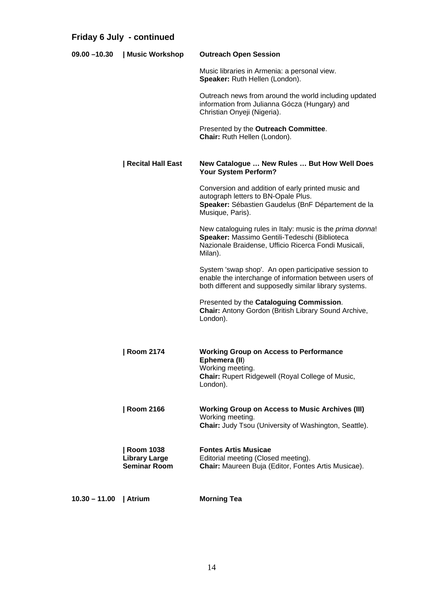# **Friday 6 July - continued**

| $09.00 - 10.30$ | Music Workshop                                                  | <b>Outreach Open Session</b>                                                                                                                                                  |
|-----------------|-----------------------------------------------------------------|-------------------------------------------------------------------------------------------------------------------------------------------------------------------------------|
|                 |                                                                 | Music libraries in Armenia: a personal view.<br>Speaker: Ruth Hellen (London).                                                                                                |
|                 |                                                                 | Outreach news from around the world including updated<br>information from Julianna Gócza (Hungary) and<br>Christian Onyeji (Nigeria).                                         |
|                 |                                                                 | Presented by the Outreach Committee.<br>Chair: Ruth Hellen (London).                                                                                                          |
|                 | <b>Recital Hall East</b>                                        | New Catalogue  New Rules  But How Well Does<br>Your System Perform?                                                                                                           |
|                 |                                                                 | Conversion and addition of early printed music and<br>autograph letters to BN-Opale Plus.<br>Speaker: Sébastien Gaudelus (BnF Département de la<br>Musique, Paris).           |
|                 |                                                                 | New cataloguing rules in Italy: music is the prima donna!<br>Speaker: Massimo Gentili-Tedeschi (Biblioteca<br>Nazionale Braidense, Ufficio Ricerca Fondi Musicali,<br>Milan). |
|                 |                                                                 | System 'swap shop'. An open participative session to<br>enable the interchange of information between users of<br>both different and supposedly similar library systems.      |
|                 |                                                                 | Presented by the Cataloguing Commission.<br>Chair: Antony Gordon (British Library Sound Archive,<br>London).                                                                  |
|                 | Room 2174                                                       | <b>Working Group on Access to Performance</b><br>Ephemera (II)<br>Working meeting.<br><b>Chair:</b> Rupert Ridgewell (Royal College of Music,<br>London).                     |
|                 | <b>Room 2166</b>                                                | <b>Working Group on Access to Music Archives (III)</b><br>Working meeting.<br>Chair: Judy Tsou (University of Washington, Seattle).                                           |
|                 | <b>Room 1038</b><br><b>Library Large</b><br><b>Seminar Room</b> | <b>Fontes Artis Musicae</b><br>Editorial meeting (Closed meeting).<br>Chair: Maureen Buja (Editor, Fontes Artis Musicae).                                                     |
| $10.30 - 11.00$ | Atrium                                                          | <b>Morning Tea</b>                                                                                                                                                            |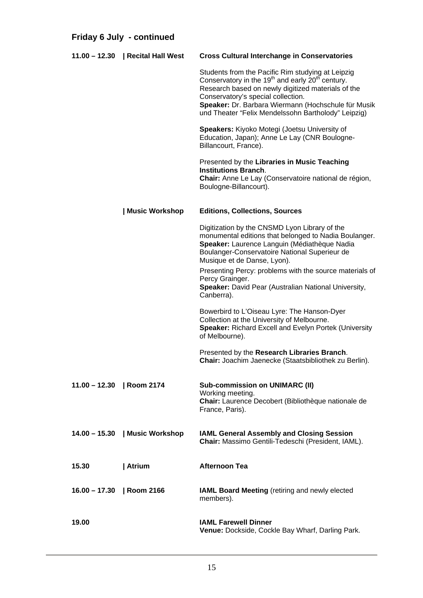| Friday 6 July - continued |                                   |                                                                                                                                                                                                                                                                                                                                         |
|---------------------------|-----------------------------------|-----------------------------------------------------------------------------------------------------------------------------------------------------------------------------------------------------------------------------------------------------------------------------------------------------------------------------------------|
|                           | 11.00 - 12.30   Recital Hall West | <b>Cross Cultural Interchange in Conservatories</b>                                                                                                                                                                                                                                                                                     |
|                           |                                   | Students from the Pacific Rim studying at Leipzig<br>Conservatory in the 19 <sup>th</sup> and early 20 <sup>th</sup> century.<br>Research based on newly digitized materials of the<br>Conservatory's special collection.<br>Speaker: Dr. Barbara Wiermann (Hochschule für Musik<br>und Theater "Felix Mendelssohn Bartholody" Leipzig) |
|                           |                                   | Speakers: Kiyoko Motegi (Joetsu University of<br>Education, Japan); Anne Le Lay (CNR Boulogne-<br>Billancourt, France).                                                                                                                                                                                                                 |
|                           |                                   | Presented by the Libraries in Music Teaching<br><b>Institutions Branch.</b><br>Chair: Anne Le Lay (Conservatoire national de région,<br>Boulogne-Billancourt).                                                                                                                                                                          |
|                           | Music Workshop                    | <b>Editions, Collections, Sources</b>                                                                                                                                                                                                                                                                                                   |
|                           |                                   | Digitization by the CNSMD Lyon Library of the<br>monumental editions that belonged to Nadia Boulanger.<br>Speaker: Laurence Languin (Médiathèque Nadia<br>Boulanger-Conservatoire National Superieur de<br>Musique et de Danse, Lyon).                                                                                                  |
|                           |                                   | Presenting Percy: problems with the source materials of<br>Percy Grainger.<br>Speaker: David Pear (Australian National University,<br>Canberra).                                                                                                                                                                                        |
|                           |                                   | Bowerbird to L'Oiseau Lyre: The Hanson-Dyer<br>Collection at the University of Melbourne.<br><b>Speaker: Richard Excell and Evelyn Portek (University</b><br>of Melbourne).                                                                                                                                                             |
|                           |                                   | Presented by the Research Libraries Branch.<br>Chair: Joachim Jaenecke (Staatsbibliothek zu Berlin).                                                                                                                                                                                                                                    |
| 11.00 - 12.30   Room 2174 |                                   | <b>Sub-commission on UNIMARC (II)</b><br>Working meeting.<br>Chair: Laurence Decobert (Bibliothèque nationale de<br>France, Paris).                                                                                                                                                                                                     |
|                           | 14.00 - 15.30   Music Workshop    | IAML General Assembly and Closing Session<br>Chair: Massimo Gentili-Tedeschi (President, IAML).                                                                                                                                                                                                                                         |
| 15.30                     | Atrium                            | <b>Afternoon Tea</b>                                                                                                                                                                                                                                                                                                                    |
| $16.00 - 17.30$           | Room 2166                         | IAML Board Meeting (retiring and newly elected<br>members).                                                                                                                                                                                                                                                                             |
| 19.00                     |                                   | <b>IAML Farewell Dinner</b><br>Venue: Dockside, Cockle Bay Wharf, Darling Park.                                                                                                                                                                                                                                                         |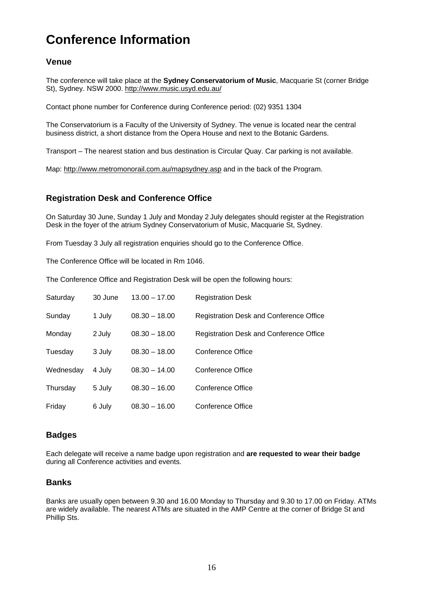# **Conference Information**

## **Venue**

The conference will take place at the **Sydney Conservatorium of Music**, Macquarie St (corner Bridge St), Sydney. NSW 2000.<http://www.music.usyd.edu.au/>

Contact phone number for Conference during Conference period: (02) 9351 1304

The Conservatorium is a Faculty of the University of Sydney. The venue is located near the central business district, a short distance from the Opera House and next to the Botanic Gardens.

Transport – The nearest station and bus destination is Circular Quay. Car parking is not available.

Map: <http://www.metromonorail.com.au/mapsydney.asp>and in the back of the Program.

## **Registration Desk and Conference Office**

On Saturday 30 June, Sunday 1 July and Monday 2 July delegates should register at the Registration Desk in the foyer of the atrium Sydney Conservatorium of Music, Macquarie St, Sydney.

From Tuesday 3 July all registration enquiries should go to the Conference Office.

The Conference Office will be located in Rm 1046.

The Conference Office and Registration Desk will be open the following hours:

| Saturday  | 30 June | $13.00 - 17.00$ | <b>Registration Desk</b>                       |
|-----------|---------|-----------------|------------------------------------------------|
| Sunday    | 1 July  | $08.30 - 18.00$ | Registration Desk and Conference Office        |
| Monday    | 2 July  | $08.30 - 18.00$ | <b>Registration Desk and Conference Office</b> |
| Tuesday   | 3 July  | $08.30 - 18.00$ | Conference Office                              |
| Wednesday | 4 July  | $08.30 - 14.00$ | Conference Office                              |
| Thursday  | 5 July  | $08.30 - 16.00$ | Conference Office                              |
| Friday    | 6 July  | $08.30 - 16.00$ | Conference Office                              |

## **Badges**

Each delegate will receive a name badge upon registration and **are requested to wear their badge** during all Conference activities and events.

## **Banks**

Banks are usually open between 9.30 and 16.00 Monday to Thursday and 9.30 to 17.00 on Friday. ATMs are widely available. The nearest ATMs are situated in the AMP Centre at the corner of Bridge St and Phillip Sts.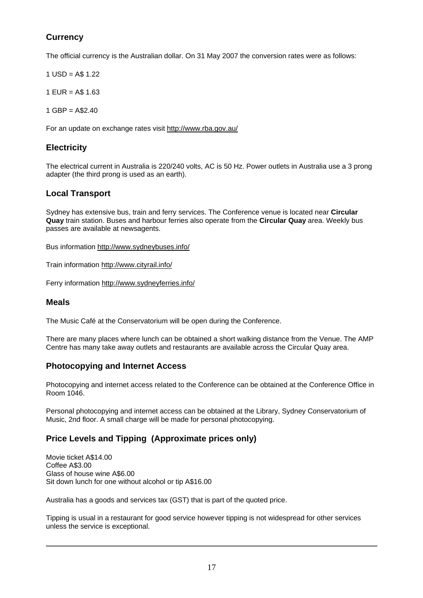## **Currency**

The official currency is the Australian dollar. On 31 May 2007 the conversion rates were as follows:

- $1$  USD = A\$ 1.22
- $1$  EUR = A\$ 1.63
- 1 GBP = A\$2.40

For an update on exchange rates visit <http://www.rba.gov.au/>

## **Electricity**

The electrical current in Australia is 220/240 volts, AC is 50 Hz. Power outlets in Australia use a 3 prong adapter (the third prong is used as an earth).

## **Local Transport**

Sydney has extensive bus, train and ferry services. The Conference venue is located near **Circular Quay** train station. Buses and harbour ferries also operate from the **Circular Quay** area. Weekly bus passes are available at newsagents.

Bus information<http://www.sydneybuses.info/>

Train information <http://www.cityrail.info/>

Ferry information<http://www.sydneyferries.info/>

## **Meals**

The Music Café at the Conservatorium will be open during the Conference.

There are many places where lunch can be obtained a short walking distance from the Venue. The AMP Centre has many take away outlets and restaurants are available across the Circular Quay area.

## **Photocopying and Internet Access**

Photocopying and internet access related to the Conference can be obtained at the Conference Office in Room 1046.

Personal photocopying and internet access can be obtained at the Library, Sydney Conservatorium of Music, 2nd floor. A small charge will be made for personal photocopying.

## **Price Levels and Tipping (Approximate prices only)**

Movie ticket A\$14.00 Coffee A\$3.00 Glass of house wine A\$6.00 Sit down lunch for one without alcohol or tip A\$16.00

Australia has a goods and services tax (GST) that is part of the quoted price.

Tipping is usual in a restaurant for good service however tipping is not widespread for other services unless the service is exceptional.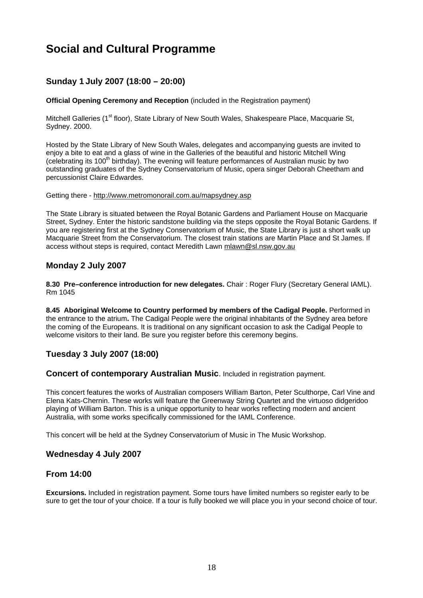# **Social and Cultural Programme**

## **Sunday 1 July 2007 (18:00 – 20:00)**

**Official Opening Ceremony and Reception** (included in the Registration payment)

Mitchell Galleries (1<sup>st</sup> floor), State Library of New South Wales, Shakespeare Place, Macquarie St, Sydney. 2000.

Hosted by the State Library of New South Wales, delegates and accompanying guests are invited to enjoy a bite to eat and a glass of wine in the Galleries of the beautiful and historic Mitchell Wing (celebrating its 100<sup>th</sup> birthday). The evening will feature performances of Australian music by two outstanding graduates of the Sydney Conservatorium of Music, opera singer Deborah Cheetham and percussionist Claire Edwardes.

#### Getting there - <http://www.metromonorail.com.au/mapsydney.asp>

The State Library is situated between the Royal Botanic Gardens and Parliament House on Macquarie Street, Sydney. Enter the historic sandstone building via the steps opposite the Royal Botanic Gardens. If you are registering first at the Sydney Conservatorium of Music, the State Library is just a short walk up Macquarie Street from the Conservatorium. The closest train stations are Martin Place and St James. If access without steps is required, contact Meredith Lawn [mlawn@sl.nsw.gov.au](mailto:mlawn@slnsw.gov.au)

## **Monday 2 July 2007**

8.30 Pre-conference introduction for new delegates. Chair: Roger Flury (Secretary General IAML). Rm 1045

**8.45 Aboriginal Welcome to Country performed by members of the Cadigal People.** Performed in the entrance to the atrium**.** The Cadigal People were the original inhabitants of the Sydney area before the coming of the Europeans. It is traditional on any significant occasion to ask the Cadigal People to welcome visitors to their land. Be sure you register before this ceremony begins.

## **Tuesday 3 July 2007 (18:00)**

**Concert of contemporary Australian Music.** Included in registration payment.

This concert features the works of Australian composers William Barton, Peter Sculthorpe, Carl Vine and Elena Kats-Chernin. These works will feature the Greenway String Quartet and the virtuoso didgeridoo playing of William Barton. This is a unique opportunity to hear works reflecting modern and ancient Australia, with some works specifically commissioned for the IAML Conference.

This concert will be held at the Sydney Conservatorium of Music in The Music Workshop.

## **Wednesday 4 July 2007**

## **From 14:00**

**Excursions.** Included in registration payment. Some tours have limited numbers so register early to be sure to get the tour of your choice. If a tour is fully booked we will place you in your second choice of tour.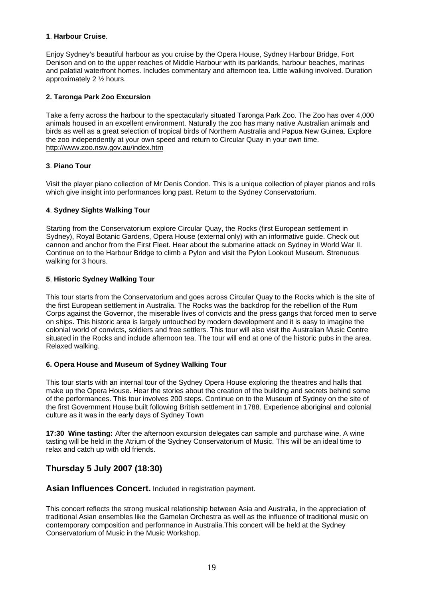#### **1**. **Harbour Cruise**.

Enjoy Sydney's beautiful harbour as you cruise by the Opera House, Sydney Harbour Bridge, Fort Denison and on to the upper reaches of Middle Harbour with its parklands, harbour beaches, marinas and palatial waterfront homes. Includes commentary and afternoon tea. Little walking involved. Duration approximately 2 ½ hours.

### **2. Taronga Park Zoo Excursion**

Take a ferry across the harbour to the spectacularly situated Taronga Park Zoo. The Zoo has over 4,000 animals housed in an excellent environment. Naturally the zoo has many native Australian animals and birds as well as a great selection of tropical birds of Northern Australia and Papua New Guinea. Explore the zoo independently at your own speed and return to Circular Quay in your own time. <http://www.zoo.nsw.gov.au/index.htm>

#### **3**. **Piano Tour**

Visit the player piano collection of Mr Denis Condon. This is a unique collection of player pianos and rolls which give insight into performances long past. Return to the Sydney Conservatorium.

#### **4**. **Sydney Sights Walking Tour**

Starting from the Conservatorium explore Circular Quay, the Rocks (first European settlement in Sydney), Royal Botanic Gardens, Opera House (external only) with an informative guide. Check out cannon and anchor from the First Fleet. Hear about the submarine attack on Sydney in World War II. Continue on to the Harbour Bridge to climb a Pylon and visit the Pylon Lookout Museum. Strenuous walking for 3 hours.

#### **5**. **Historic Sydney Walking Tour**

This tour starts from the Conservatorium and goes across Circular Quay to the Rocks which is the site of the first European settlement in Australia. The Rocks was the backdrop for the rebellion of the Rum Corps against the Governor, the miserable lives of convicts and the press gangs that forced men to serve on ships. This historic area is largely untouched by modern development and it is easy to imagine the colonial world of convicts, soldiers and free settlers. This tour will also visit the Australian Music Centre situated in the Rocks and include afternoon tea. The tour will end at one of the historic pubs in the area. Relaxed walking.

#### **6. Opera House and Museum of Sydney Walking Tour**

This tour starts with an internal tour of the Sydney Opera House exploring the theatres and halls that make up the Opera House. Hear the stories about the creation of the building and secrets behind some of the performances. This tour involves 200 steps. Continue on to the Museum of Sydney on the site of the first Government House built following British settlement in 1788. Experience aboriginal and colonial culture as it was in the early days of Sydney Town

**17:30 Wine tasting:** After the afternoon excursion delegates can sample and purchase wine. A wine tasting will be held in the Atrium of the Sydney Conservatorium of Music. This will be an ideal time to relax and catch up with old friends.

## **Thursday 5 July 2007 (18:30)**

**Asian Influences Concert.** Included in registration payment.

This concert reflects the strong musical relationship between Asia and Australia, in the appreciation of traditional Asian ensembles like the Gamelan Orchestra as well as the influence of traditional music on contemporary composition and performance in Australia.This concert will be held at the Sydney Conservatorium of Music in the Music Workshop.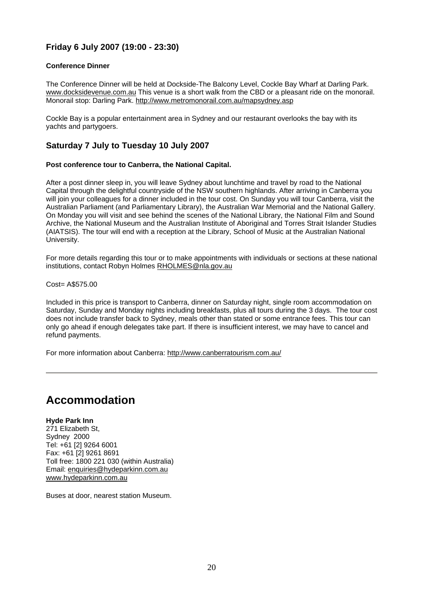## **Friday 6 July 2007 (19:00 - 23:30)**

#### **Conference Dinner**

The Conference Dinner will be held at Dockside-The Balcony Level, Cockle Bay Wharf at Darling Park. [www.docksidevenue.com.au](http://www.docksidevenue.com.au/) This venue is a short walk from the CBD or a pleasant ride on the monorail. Monorail stop: Darling Park. <http://www.metromonorail.com.au/mapsydney.asp>

Cockle Bay is a popular entertainment area in Sydney and our restaurant overlooks the bay with its yachts and partygoers.

## **Saturday 7 July to Tuesday 10 July 2007**

#### **Post conference tour to Canberra, the National Capital.**

After a post dinner sleep in, you will leave Sydney about lunchtime and travel by road to the National Capital through the delightful countryside of the NSW southern highlands. After arriving in Canberra you will join your colleagues for a dinner included in the tour cost. On Sunday you will tour Canberra, visit the Australian Parliament (and Parliamentary Library), the Australian War Memorial and the National Gallery. On Monday you will visit and see behind the scenes of the National Library, the National Film and Sound Archive, the National Museum and the Australian Institute of Aboriginal and Torres Strait Islander Studies (AIATSIS). The tour will end with a reception at the Library, School of Music at the Australian National University.

For more details regarding this tour or to make appointments with individuals or sections at these national institutions, contact Robyn Holmes [RHOLMES@nla.gov.au](mailto:RHOLMES@nla.gov.au)

Cost= A\$575.00

Included in this price is transport to Canberra, dinner on Saturday night, single room accommodation on Saturday, Sunday and Monday nights including breakfasts, plus all tours during the 3 days. The tour cost does not include transfer back to Sydney, meals other than stated or some entrance fees. This tour can only go ahead if enough delegates take part. If there is insufficient interest, we may have to cancel and refund payments.

For more information about Canberra:<http://www.canberratourism.com.au/>

## **Accommodation**

#### **Hyde Park Inn**

271 Elizabeth St, Sydney 2000 Tel: +61 [2] 9264 6001 Fax: +61 [2] 9261 8691 Toll free: 1800 221 030 (within Australia) Email: [enquiries@hydeparkinn.com.au](mailto:enquiries@hydeparkinn.com.au) [www.hydeparkinn.com.au](http://www.hydeparkinn.com.au/)

Buses at door, nearest station Museum.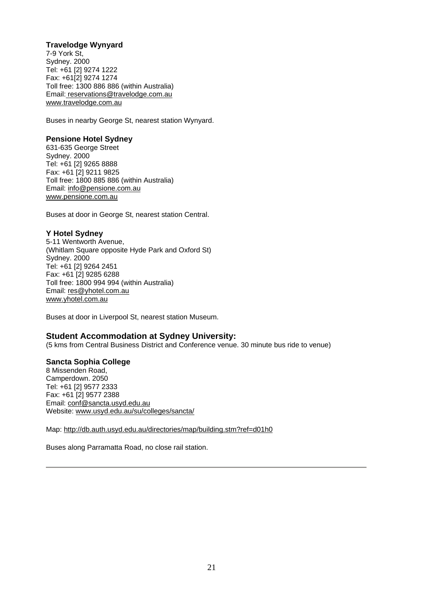### **Travelodge Wynyard**

7-9 York St, Sydney. 2000 Tel: +61 [2] 9274 1222 Fax: +61[2] 9274 1274 Toll fr[ee: 1300 886 886 \(within Australia\)](mailto:reservations@travelodge.com.au) [Email:](http://www.travelodge.com.au/) [reservations@travelodge.com.au](mailto:reservations@travelodge.com.au) [www.travelodge.com.au](http://www.travelodge.com.au/)

Buses in nearby George St, nearest station Wynyard.

#### **Pensione Hotel Sydney**

631-635 George Street Sydney. 2000 Tel: +61 [2] 9265 8888 Fax: +61 [2] 9211 9825 Toll free: 1800 885 886 (within Australia) Email: [info@pensione.com.au](mailto:info@pensione.com.au) [www.pensione.com.au](http://www.pensione.com.au/)

Buses at door in George St, nearest station Central.

## **Y Hotel Sydney**

5-11 Wentworth Avenue, (Whitlam Square opposite Hyde Park and Oxford St) Sydney. 2000 Tel: +61 [2] 9264 2451 Fax: +61 [2] 9285 6288 Toll free: 1800 994 994 (within Australia) Email: [res@yhotel.com.au](mailto:res@yhotel.com.au) [www.yhotel.com.au](http://www.yhotel.com.au/) 

Buses at door in Liverpool St, nearest station Museum.

## **Student Accommodation at Sydney University:**

(5 kms from Central Business District and Conference venue. 30 minute bus ride to venue)

#### **Sancta Sophia College**

8 Missenden Road, Camperdown. 2050 Tel: +61 [2] 9577 2333 Fax: +61 [2] 9577 2388 Email: [conf@sancta.usyd.edu.au](mailto:conf@sancta.usyd.edu.au) Website: [www.usyd.edu.au/su/colleges/sancta/](http://www.usyd.edu.au/su/colleges/sancta/)

Map: <http://db.auth.usyd.edu.au/directories/map/building.stm?ref=d01h0>

Buses along Parramatta Road, no close rail station.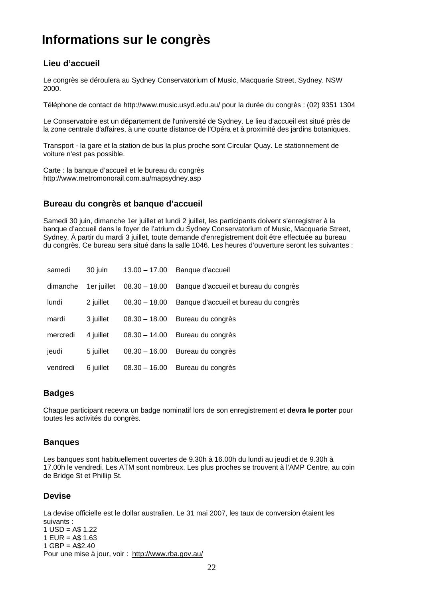# **Informations sur le congrès**

## **Lieu d'accueil**

Le congrès se déroulera au Sydney Conservatorium of Music, Macquarie Street, Sydney. NSW 2000.

Téléphone de contact de http://www.music.usyd.edu.au/ pour la durée du congrès : (02) 9351 1304

Le Conservatoire est un département de l'université de Sydney. Le lieu d'accueil est situé près de la zone centrale d'affaires, à une courte distance de l'Opéra et à proximité des jardins botaniques.

Transport - la gare et la station de bus la plus proche sont Circular Quay. Le stationnement de voiture n'est pas possible.

Carte : la banque d'accueil et le bureau du congrès <http://www.metromonorail.com.au/mapsydney.asp>

## **Bureau du congrès et banque d'accueil**

Samedi 30 juin, dimanche 1er juillet et lundi 2 juillet, les participants doivent s'enregistrer à la banque d'accueil dans le foyer de l'atrium du Sydney Conservatorium of Music, Macquarie Street, Sydney. À partir du mardi 3 juillet, toute demande d'enregistrement doit être effectuée au bureau du congrès. Ce bureau sera situé dans la salle 1046. Les heures d'ouverture seront les suivantes :

| samedi   | 30 juin     | $13.00 - 17.00$ | Banque d'accueil                                    |
|----------|-------------|-----------------|-----------------------------------------------------|
| dimanche | 1er juillet |                 | 08.30 - 18.00 Banque d'accueil et bureau du congrès |
| lundi    | 2 juillet   | $08.30 - 18.00$ | Banque d'accueil et bureau du congrès               |
| mardi    | 3 juillet   | $08.30 - 18.00$ | Bureau du congrès                                   |
| mercredi | 4 juillet   | $08.30 - 14.00$ | Bureau du congrès                                   |
| jeudi    | 5 juillet   | $08.30 - 16.00$ | Bureau du congrès                                   |
| vendredi | 6 juillet   | $08.30 - 16.00$ | Bureau du congrès                                   |

## **Badges**

Chaque participant recevra un badge nominatif lors de son enregistrement et **devra le porter** pour toutes les activités du congrès.

## **Banques**

Les banques sont habituellement ouvertes de 9.30h à 16.00h du lundi au jeudi et de 9.30h à 17.00h le vendredi. Les ATM sont nombreux. Les plus proches se trouvent à l'AMP Centre, au coin de Bridge St et Phillip St.

## **Devise**

La devise officielle est le dollar australien. Le 31 mai 2007, les taux de conversion étaient les suivants : 1 USD = A\$ 1.22  $1$  EUR = A\$ 1.63  $1$  GBP = A\$2.40 Pour une mise à jour, voir : http://www.rba.gov.au/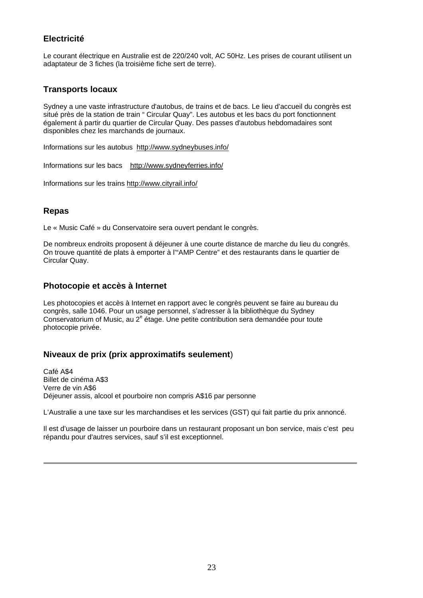## **Electricité**

Le courant électrique en Australie est de 220/240 volt, AC 50Hz. Les prises de courant utilisent un adaptateur de 3 fiches (la troisième fiche sert de terre).

## **Transports locaux**

Sydney a une vaste infrastructure d'autobus, de trains et de bacs. Le lieu d'accueil du congrès est situé près de la station de train " Circular Quay". Les autobus et les bacs du port fonctionnent également à partir du quartier de Circular Quay. Des passes d'autobus hebdomadaires sont disponibles chez les marchands de journaux.

Informations sur les autobus <http://www.sydneybuses.info/>

Informations sur les bacs <http://www.sydneyferries.info/>

Informations sur les trains <http://www.cityrail.info/>

## **Repas**

Le « Music Café » du Conservatoire sera ouvert pendant le congrès.

De nombreux endroits proposent à déjeuner à une courte distance de marche du lieu du congrès. On trouve quantité de plats à emporter à l'"AMP Centre" et des restaurants dans le quartier de Circular Quay.

## **Photocopie et accès à Internet**

Les photocopies et accès à Internet en rapport avec le congrès peuvent se faire au bureau du congrès, salle 1046. Pour un usage personnel, s'adresser à la bibliothèque du Sydney Conservatorium of Music, au 2<sup>e</sup> étage. Une petite contribution sera demandée pour toute photocopie privée.

## **Niveaux de prix (prix approximatifs seulement**)

Café A\$4 Billet de cinéma A\$3 Verre de vin A\$6 Déjeuner assis, alcool et pourboire non compris A\$16 par personne

L'Australie a une taxe sur les marchandises et les services (GST) qui fait partie du prix annoncé.

Il est d'usage de laisser un pourboire dans un restaurant proposant un bon service, mais c'est peu répandu pour d'autres services, sauf s'il est exceptionnel.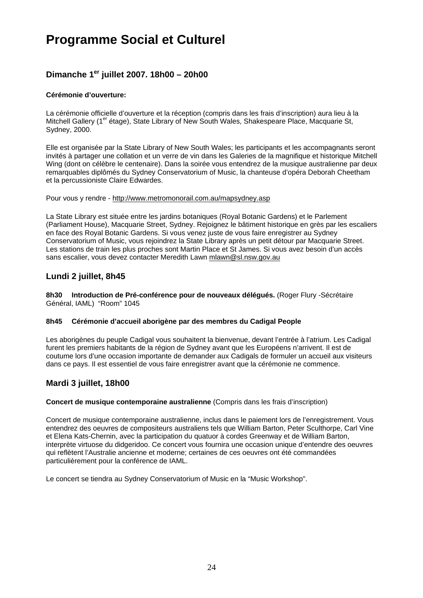# **Programme Social et Culturel**

## **Dimanche 1er juillet 2007. 18h00 – 20h00**

#### **Cérémonie d'ouverture:**

La cérémonie officielle d'ouverture et la réception (compris dans les frais d'inscription) aura lieu à la Mitchell Gallery (1<sup>er</sup> étage), State Library of New South Wales, Shakespeare Place, Macquarie St, Sydney, 2000.

Elle est organisée par la State Library of New South Wales; les participants et les accompagnants seront invités à partager une collation et un verre de vin dans les Galeries de la magnifique et historique Mitchell Wing (dont on célèbre le centenaire). Dans la soirée vous entendrez de la musique australienne par deux remarquables diplômés du Sydney Conservatorium of Music, la chanteuse d'opéra Deborah Cheetham et la percussioniste Claire Edwardes.

#### Pour vous y rendre -<http://www.metromonorail.com.au/mapsydney.asp>

La State Library est située entre les jardins botaniques (Royal Botanic Gardens) et le Parlement (Parliament House), Macquarie Street, Sydney. Rejoignez le bâtiment historique en grès par les escaliers en face des Royal Botanic Gardens. Si vous venez juste de vous faire enregistrer au Sydney Conservatorium of Music, vous rejoindrez la State Library après un petit détour par Macquarie Street. Les stations de train les plus proches sont Martin Place et St James. Si vous avez besoin d'un accès sans escalier, vous devez contacter Meredith Lawn [mlawn@sl.nsw.gov.au](mailto:mlawn@sl.nsw.gov.au)

## **Lundi 2 juillet, 8h45**

**8h30 Introduction de Pré-conférence pour de nouveaux délégués.** (Roger Flury -Sécrétaire Général, IAML) "Room" 1045

#### **8h45 Cérémonie d'accueil aborigène par des membres du Cadigal People**

Les aborigènes du peuple Cadigal vous souhaitent la bienvenue, devant l'entrée à l'atrium. Les Cadigal furent les premiers habitants de la région de Sydney avant que les Européens n'arrivent. Il est de coutume lors d'une occasion importante de demander aux Cadigals de formuler un accueil aux visiteurs dans ce pays. Il est essentiel de vous faire enregistrer avant que la cérémonie ne commence.

## **Mardi 3 juillet, 18h00**

#### **Concert de musique contemporaine australienne** (Compris dans les frais d'inscription)

Concert de musique contemporaine australienne, inclus dans le paiement lors de l'enregistrement. Vous entendrez des oeuvres de compositeurs australiens tels que William Barton, Peter Sculthorpe, Carl Vine et Elena Kats-Chernin, avec la participation du quatuor à cordes Greenway et de William Barton, interprète virtuose du didgeridoo. Ce concert vous fournira une occasion unique d'entendre des oeuvres qui reflètent l'Australie ancienne et moderne; certaines de ces oeuvres ont été commandées particulièrement pour la conférence de IAML.

Le concert se tiendra au Sydney Conservatorium of Music en la "Music Workshop".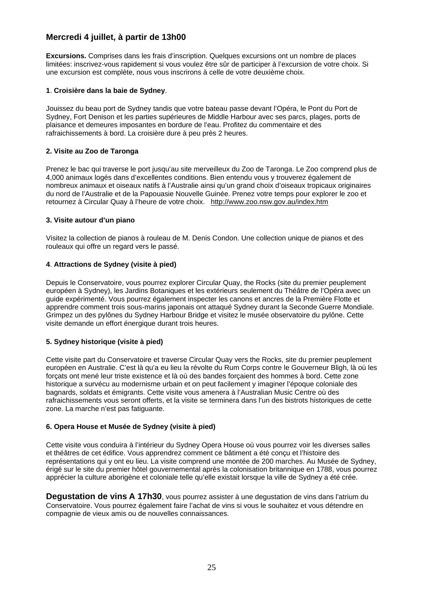## **Mercredi 4 juillet, à partir de 13h00**

**Excursions.** Comprises dans les frais d'inscription. Quelques excursions ont un nombre de places limitées: inscrivez-vous rapidement si vous voulez être sûr de participer à l'excursion de votre choix. Si une excursion est complète, nous vous inscrirons à celle de votre deuxième choix.

#### **1**. **Croisière dans la baie de Sydney**.

Jouissez du beau port de Sydney tandis que votre bateau passe devant l'Opéra, le Pont du Port de Sydney, Fort Denison et les parties supérieures de Middle Harbour avec ses parcs, plages, ports de plaisance et demeures imposantes en bordure de l'eau. Profitez du commentaire et des rafraichissements à bord. La croisière dure à peu près 2 heures.

#### **2. Visite au Zoo de Taronga**

Prenez le bac qui traverse le port jusqu'au site merveilleux du Zoo de Taronga. Le Zoo comprend plus de 4,000 animaux logés dans d'excellentes conditions. Bien entendu vous y trouverez également de nombreux animaux et oiseaux natifs à l'Australie ainsi qu'un grand choix d'oiseaux tropicaux originaires du nord de l'Australie et de la Papouasie Nouvelle Guinée. Prenez votre temps pour explorer le zoo et retournez à Circular Quay à l'heure de votre choix. <http://www.zoo.nsw.gov.au/index.htm>

#### **3. Visite autour d'un piano**

Visitez la collection de pianos à rouleau de M. Denis Condon. Une collection unique de pianos et des rouleaux qui offre un regard vers le passé.

#### **4**. **Attractions de Sydney (visite à pied)**

Depuis le Conservatoire, vous pourrez explorer Circular Quay, the Rocks (site du premier peuplement européen à Sydney), les Jardins Botaniques et les extérieurs seulement du Théâtre de l'Opéra avec un guide expérimenté. Vous pourrez également inspecter les canons et ancres de la Première Flotte et apprendre comment trois sous-marins japonais ont attaqué Sydney durant la Seconde Guerre Mondiale. Grimpez un des pylônes du Sydney Harbour Bridge et visitez le musée observatoire du pylône. Cette visite demande un effort énergique durant trois heures.

#### **5. Sydney historique (visite à pied)**

Cette visite part du Conservatoire et traverse Circular Quay vers the Rocks, site du premier peuplement européen en Australie. C'est là qu'a eu lieu la révolte du Rum Corps contre le Gouverneur Bligh, là où les forçats ont mené leur triste existence et là où des bandes forçaient des hommes à bord. Cette zone historique a survécu au modernisme urbain et on peut facilement y imaginer l'époque coloniale des bagnards, soldats et émigrants. Cette visite vous amenera à l'Australian Music Centre où des rafraichissements vous seront offerts, et la visite se terminera dans l'un des bistrots historiques de cette zone. La marche n'est pas fatiguante.

#### **6. Opera House et Musée de Sydney (visite à pied)**

Cette visite vous conduira à l'intérieur du Sydney Opera House où vous pourrez voir les diverses salles et théâtres de cet édifice. Vous apprendrez comment ce bâtiment a été conçu et l'histoire des représentations qui y ont eu lieu. La visite comprend une montée de 200 marches. Au Musée de Sydney, érigé sur le site du premier hôtel gouvernemental après la colonisation britannique en 1788, vous pourrez apprécier la culture aborigène et coloniale telle qu'elle existait lorsque la ville de Sydney a été crée.

**Degustation de vins A 17h30**, vous pourrez assister à une degustation de vins dans l'atrium du Conservatoire. Vous pourrez également faire l'achat de vins si vous le souhaitez et vous détendre en compagnie de vieux amis ou de nouvelles connaissances.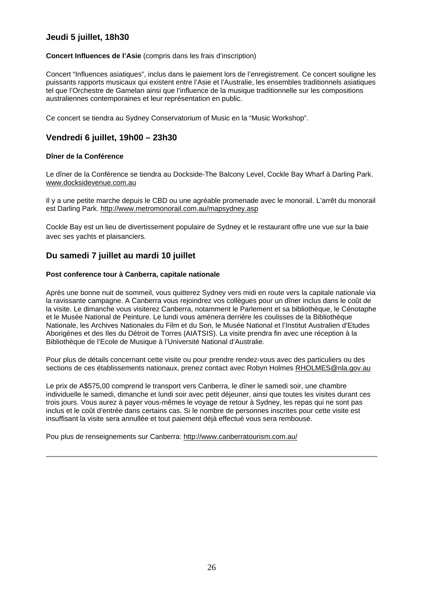## **Jeudi 5 juillet, 18h30**

#### **Concert Influences de l'Asie** (compris dans les frais d'inscription)

Concert "Influences asiatiques", inclus dans le paiement lors de l'enregistrement. Ce concert souligne les puissants rapports musicaux qui existent entre l'Asie et l'Australie, les ensembles traditionnels asiatiques tel que l'Orchestre de Gamelan ainsi que l'influence de la musique traditionnelle sur les compositions australiennes contemporaines et leur représentation en public.

Ce concert se tiendra au Sydney Conservatorium of Music en la "Music Workshop".

## **Vendredi 6 juillet, 19h00 – 23h30**

#### **Dîner de la Conférence**

Le dîner de la Conférence se tiendra au Dockside-The Balcony Level, Cockle Bay Wharf à Darling Park. [www.docksidevenue.com.au](http://www.docksidevenue.com.au/)

Il y a une petite marche depuis le CBD ou une agréable promenade avec le monorail. L'arrêt du monorail est Darling Park.<http://www.metromonorail.com.au/mapsydney.asp>

Cockle Bay est un lieu de divertissement populaire de Sydney et le restaurant offre une vue sur la baie avec ses yachts et plaisanciers.

## **Du samedi 7 juillet au mardi 10 juillet**

#### **Post conference tour à Canberra, capitale nationale**

Après une bonne nuit de sommeil, vous quitterez Sydney vers midi en route vers la capitale nationale via la ravissante campagne. A Canberra vous rejoindrez vos collègues pour un dîner inclus dans le coût de la visite. Le dimanche vous visiterez Canberra, notamment le Parlement et sa bibliothèque, le Cénotaphe et le Musée National de Peinture. Le lundi vous amènera derrière les coulisses de la Bibliothèque Nationale, les Archives Nationales du Film et du Son, le Musée National et l'Institut Australien d'Etudes Aborigènes et des Iles du Détroit de Torres (AIATSIS). La visite prendra fin avec une réception à la Bibliothèque de l'Ecole de Musique à l'Université National d'Australie.

Pour plus de détails concernant cette visite ou pour prendre rendez-vous avec des particuliers ou des sections de ces établissements nationaux, prenez contact avec Robyn Holmes [RHOLMES@nla.gov.au](mailto:RHOLMES@nla.gov.au)

Le prix de A\$575,00 comprend le transport vers Canberra, le dîner le samedi soir, une chambre individuelle le samedi, dimanche et lundi soir avec petit déjeuner, ainsi que toutes les visites durant ces trois jours. Vous aurez à payer vous-mêmes le voyage de retour à Sydney, les repas qui ne sont pas inclus et le coût d'entrée dans certains cas. Si le nombre de personnes inscrites pour cette visite est insuffisant la visite sera annullée et tout paiement déjà effectué vous sera rembousé.

Pou plus de renseignements sur Canberra:<http://www.canberratourism.com.au/>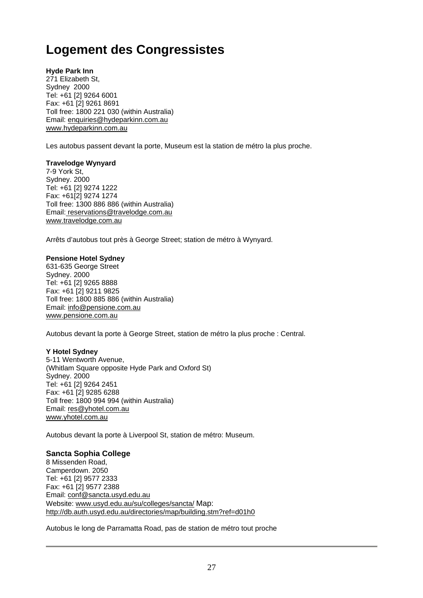# **Logement des Congressistes**

**Hyde Park Inn** 271 Elizabeth St, Sydney 2000 Tel: +61 [2] 9264 6001 Fax: +61 [2] 9261 8691 Toll free: 1800 221 030 (within Australia) Email: [enquiries@hydeparkinn.com.au](mailto:enquiries@hydeparkinn.com.au) [www.hydeparkinn.com.au](http://www.hydeparkinn.com.au/)

Les autobus passent devant la porte, Museum est la station de métro la plus proche.

#### **Travelodge Wynyard**

7-9 York St, Sydney. 2000 Tel: +61 [2] 9274 1222 Fax: +61[2] 9274 1274 Toll free: 1300 886 886 (within Australia) Email: [reservations@travelodge.com.au](mailto:reservations@travelodge.com.au) [www.travelodge.com.au](http://www.travelodge.com.au/) 

Arrêts d'autobus tout près à George Street; station de métro à Wynyard.

#### **Pensione Hotel Sydney**

631-635 George Street Sydney. 2000 Tel: +61 [2] 9265 8888 Fax: +61 [2] 9211 9825 Toll free: 1800 885 886 (within Australia) Email: [info@pensione.com.au](mailto:info@pensione.com.au) [www.pensione.com.au](http://www.pensione.com.au/)

Autobus devant la porte à George Street, station de métro la plus proche : Central.

#### **Y Hotel Sydney**

5-11 Wentworth Avenue, (Whitlam Square opposite Hyde Park and Oxford St) Sydney. 2000 Tel: +61 [2] 9264 2451 Fax: +61 [2] 9285 6288 Toll free: 1800 994 994 (within Australia) Email: [res@yhotel.com.au](mailto:res@yhotel.com.au) [www.yhotel.com.au](http://www.yhotel.com.au/) 

Autobus devant la porte à Liverpool St, station de métro: Museum.

#### **Sancta Sophia College**

8 Missenden Road, Camperdown. 2050 Tel: +61 [2] 9577 2333 Fax: +61 [2] 9577 2388 Email: [conf@sancta.usyd.edu.au](mailto:conf@sancta.usyd.edu.au) Website: [www.usyd.edu.au/su/colleges/sancta/](http://www.usyd.edu.au/su/colleges/sancta/) Map: <http://db.auth.usyd.edu.au/directories/map/building.stm?ref=d01h0>

Autobus le long de Parramatta Road, pas de station de métro tout proche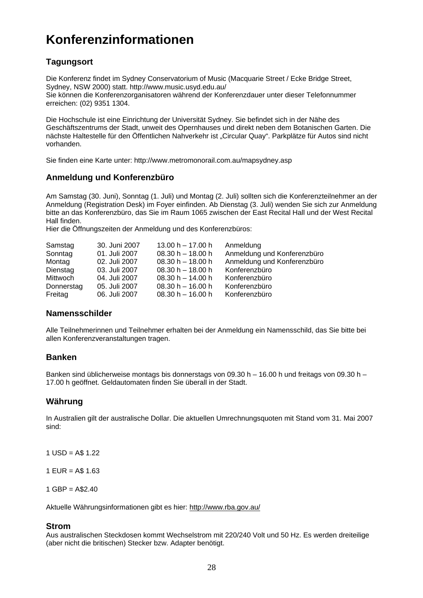# **Konferenzinformationen**

## **Tagungsort**

Die Konferenz findet im Sydney Conservatorium of Music (Macquarie Street / Ecke Bridge Street, Sydney, NSW 2000) statt. <http://www.music.usyd.edu.au/> Sie können die Konferenzorganisatoren während der Konferenzdauer unter dieser Telefonnummer erreichen: (02) 9351 1304.

Die Hochschule ist eine Einrichtung der Universität Sydney. Sie befindet sich in der Nähe des Geschäftszentrums der Stadt, unweit des Opernhauses und direkt neben dem Botanischen Garten. Die nächste Haltestelle für den Öffentlichen Nahverkehr ist "Circular Quay". Parkplätze für Autos sind nicht vorhanden.

Sie finden eine Karte unter: <http://www.metromonorail.com.au/mapsydney.asp>

## **Anmeldung und Konferenzbüro**

Am Samstag (30. Juni), Sonntag (1. Juli) und Montag (2. Juli) sollten sich die Konferenzteilnehmer an der Anmeldung (Registration Desk) im Foyer einfinden. Ab Dienstag (3. Juli) wenden Sie sich zur Anmeldung bitte an das Konferenzbüro, das Sie im Raum 1065 zwischen der East Recital Hall und der West Recital Hall finden.

Hier die Öffnungszeiten der Anmeldung und des Konferenzbüros:

| Samstag    | 30. Juni 2007 | $13.00 h - 17.00 h$ | Anmeldung                   |
|------------|---------------|---------------------|-----------------------------|
| Sonntag    | 01. Juli 2007 | $08.30 h - 18.00 h$ | Anmeldung und Konferenzbüro |
| Montag     | 02. Juli 2007 | $08.30 h - 18.00 h$ | Anmeldung und Konferenzbüro |
| Dienstag   | 03. Juli 2007 | $08.30 h - 18.00 h$ | Konferenzbüro               |
| Mittwoch   | 04. Juli 2007 | $08.30 h - 14.00 h$ | Konferenzbüro               |
| Donnerstag | 05. Juli 2007 | $08.30 h - 16.00 h$ | Konferenzbüro               |
| Freitag    | 06. Juli 2007 | $08.30 h - 16.00 h$ | Konferenzbüro               |

## **Namensschilder**

Alle Teilnehmerinnen und Teilnehmer erhalten bei der Anmeldung ein Namensschild, das Sie bitte bei allen Konferenzveranstaltungen tragen.

## **Banken**

Banken sind üblicherweise montags bis donnerstags von 09.30 h – 16.00 h und freitags von 09.30 h – 17.00 h geöffnet. Geldautomaten finden Sie überall in der Stadt.

## **Währung**

In Australien gilt der australische Dollar. Die aktuellen Umrechnungsquoten mit Stand vom 31. Mai 2007 sind:

 $1$  USD = A\$ 1.22

 $1$  EUR = A\$ 1.63

 $1$  GBP = A\$2.40

Aktuelle Währungsinformationen gibt es hier: <http://www.rba.gov.au/>

## **Strom**

Aus australischen Steckdosen kommt Wechselstrom mit 220/240 Volt und 50 Hz. Es werden dreiteilige (aber nicht die britischen) Stecker bzw. Adapter benötigt.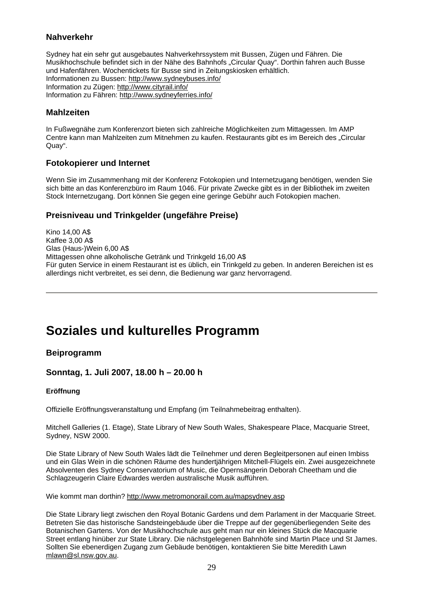## **Nahverkehr**

Sydney hat ein sehr gut ausgebautes Nahverkehrssystem mit Bussen, Zügen und Fähren. Die Musikhochschule befindet sich in der Nähe des Bahnhofs "Circular Quay". Dorthin fahren auch Busse und Hafenfähren. Wochentickets für Busse sind in Zeitungskiosken erhältlich. Informationen zu Bussen: <http://www.sydneybuses.info/> Information zu Zügen: <http://www.cityrail.info/> Information zu Fähren:<http://www.sydneyferries.info/>

## **Mahlzeiten**

In Fußwegnähe zum Konferenzort bieten sich zahlreiche Möglichkeiten zum Mittagessen. Im AMP Centre kann man Mahlzeiten zum Mitnehmen zu kaufen. Restaurants gibt es im Bereich des "Circular Quay".

## **Fotokopierer und Internet**

Wenn Sie im Zusammenhang mit der Konferenz Fotokopien und Internetzugang benötigen, wenden Sie sich bitte an das Konferenzbüro im Raum 1046. Für private Zwecke gibt es in der Bibliothek im zweiten Stock Internetzugang. Dort können Sie gegen eine geringe Gebühr auch Fotokopien machen.

## **Preisniveau und Trinkgelder (ungefähre Preise)**

Kino 14,00 A\$ Kaffee 3,00 A\$ Glas (Haus-)Wein 6,00 A\$ Mittagessen ohne alkoholische Getränk und Trinkgeld 16,00 A\$ Für guten Service in einem Restaurant ist es üblich, ein Trinkgeld zu geben. In anderen Bereichen ist es allerdings nicht verbreitet, es sei denn, die Bedienung war ganz hervorragend.

# **Soziales und kulturelles Programm**

## **Beiprogramm**

## **Sonntag, 1. Juli 2007, 18.00 h – 20.00 h**

#### **Eröffnung**

Offizielle Eröffnungsveranstaltung und Empfang (im Teilnahmebeitrag enthalten).

Mitchell Galleries (1. Etage), State Library of New South Wales, Shakespeare Place, Macquarie Street, Sydney, NSW 2000.

Die State Library of New South Wales lädt die Teilnehmer und deren Begleitpersonen auf einen Imbiss und ein Glas Wein in die schönen Räume des hundertjährigen Mitchell-Flügels ein. Zwei ausgezeichnete Absolventen des Sydney Conservatorium of Music, die Opernsängerin Deborah Cheetham und die Schlagzeugerin Claire Edwardes werden australische Musik aufführen.

Wie kommt man dorthin? <http://www.metromonorail.com.au/mapsydney.asp>

Die State Library liegt zwischen den Royal Botanic Gardens und dem Parlament in der Macquarie Street. Betreten Sie das historische Sandsteingebäude über die Treppe auf der gegenüberliegenden Seite des Botanischen Gartens. Von der Musikhochschule aus geht man nur ein kleines Stück die Macquarie Street entlang hinüber zur State Library. Die nächstgelegenen Bahnhöfe sind Martin Place und St James. Sollten Sie ebenerdigen Zugang zum Gebäude benötigen, kontaktieren Sie bitte Meredith Lawn [mlawn@sl.nsw.gov.au](mailto:mlawn@slnsw.gov.au).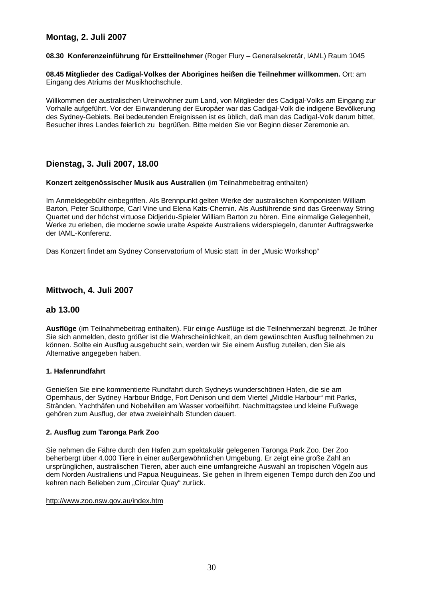## **Montag, 2. Juli 2007**

**08.30 Konferenzeinführung für Erstteilnehmer** (Roger Flury – Generalsekretär, IAML) Raum 1045

**08.45 Mitglieder des Cadigal-Volkes der Aborigines heißen die Teilnehmer willkommen.** Ort: am Eingang des Atriums der Musikhochschule.

Willkommen der australischen Ureinwohner zum Land, von Mitglieder des Cadigal-Volks am Eingang zur Vorhalle aufgeführt. Vor der Einwanderung der Europäer war das Cadigal-Volk die indigene Bevölkerung des Sydney-Gebiets. Bei bedeutenden Ereignissen ist es üblich, daß man das Cadigal-Volk darum bittet, Besucher ihres Landes feierlich zu begrüßen. Bitte melden Sie vor Beginn dieser Zeremonie an.

## **Dienstag, 3. Juli 2007, 18.00**

**Konzert zeitgenössischer Musik aus Australien** (im Teilnahmebeitrag enthalten)

Im Anmeldegebühr einbegriffen. Als Brennpunkt gelten Werke der australischen Komponisten William Barton, Peter Sculthorpe, Carl Vine und Elena Kats-Chernin. Als Ausführende sind das Greenway String Quartet und der höchst virtuose Didjeridu-Spieler William Barton zu hören. Eine einmalige Gelegenheit, Werke zu erleben, die moderne sowie uralte Aspekte Australiens widerspiegeln, darunter Auftragswerke der IAML-Konferenz.

Das Konzert findet am Sydney Conservatorium of Music statt in der "Music Workshop"

## **Mittwoch, 4. Juli 2007**

## **ab 13.00**

**Ausflüge** (im Teilnahmebeitrag enthalten). Für einige Ausflüge ist die Teilnehmerzahl begrenzt. Je früher Sie sich anmelden, desto größer ist die Wahrscheinlichkeit, an dem gewünschten Ausflug teilnehmen zu können. Sollte ein Ausflug ausgebucht sein, werden wir Sie einem Ausflug zuteilen, den Sie als Alternative angegeben haben.

#### **1. Hafenrundfahrt**

Genießen Sie eine kommentierte Rundfahrt durch Sydneys wunderschönen Hafen, die sie am Opernhaus, der Sydney Harbour Bridge, Fort Denison und dem Viertel "Middle Harbour" mit Parks, Stränden, Yachthäfen und Nobelvillen am Wasser vorbeiführt. Nachmittagstee und kleine Fußwege gehören zum Ausflug, der etwa zweieinhalb Stunden dauert.

#### **2. Ausflug zum Taronga Park Zoo**

Sie nehmen die Fähre durch den Hafen zum spektakulär gelegenen Taronga Park Zoo. Der Zoo beherbergt über 4.000 Tiere in einer außergewöhnlichen Umgebung. Er zeigt eine große Zahl an ursprünglichen, australischen Tieren, aber auch eine umfangreiche Auswahl an tropischen Vögeln aus dem Norden Australiens und Papua Neuguineas. Sie gehen in Ihrem eigenen Tempo durch den Zoo und kehren nach Belieben zum "Circular Quay" zurück.

#### <http://www.zoo.nsw.gov.au/index.htm>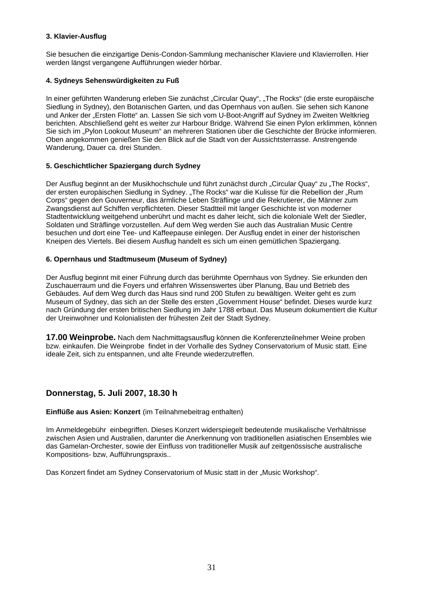#### **3. Klavier-Ausflug**

Sie besuchen die einzigartige Denis-Condon-Sammlung mechanischer Klaviere und Klavierrollen. Hier werden längst vergangene Aufführungen wieder hörbar.

#### **4. Sydneys Sehenswürdigkeiten zu Fuß**

In einer geführten Wanderung erleben Sie zunächst "Circular Quay", "The Rocks" (die erste europäische Siedlung in Sydney), den Botanischen Garten, und das Opernhaus von außen. Sie sehen sich Kanone und Anker der "Ersten Flotte" an. Lassen Sie sich vom U-Boot-Angriff auf Sydney im Zweiten Weltkrieg berichten. Abschließend geht es weiter zur Harbour Bridge. Während Sie einen Pylon erklimmen, können Sie sich im "Pylon Lookout Museum" an mehreren Stationen über die Geschichte der Brücke informieren. Oben angekommen genießen Sie den Blick auf die Stadt von der Aussichtsterrasse. Anstrengende Wanderung, Dauer ca. drei Stunden.

#### **5. Geschichtlicher Spaziergang durch Sydney**

Der Ausflug beginnt an der Musikhochschule und führt zunächst durch "Circular Quay" zu "The Rocks", der ersten europäischen Siedlung in Sydney. "The Rocks" war die Kulisse für die Rebellion der "Rum Corps" gegen den Gouverneur, das ärmliche Leben Sträflinge und die Rekrutierer, die Männer zum Zwangsdienst auf Schiffen verpflichteten. Dieser Stadtteil mit langer Geschichte ist von moderner Stadtentwicklung weitgehend unberührt und macht es daher leicht, sich die koloniale Welt der Siedler, Soldaten und Sträflinge vorzustellen. Auf dem Weg werden Sie auch das Australian Music Centre besuchen und dort eine Tee- und Kaffeepause einlegen. Der Ausflug endet in einer der historischen Kneipen des Viertels. Bei diesem Ausflug handelt es sich um einen gemütlichen Spaziergang.

#### **6. Opernhaus und Stadtmuseum (Museum of Sydney)**

Der Ausflug beginnt mit einer Führung durch das berühmte Opernhaus von Sydney. Sie erkunden den Zuschauerraum und die Foyers und erfahren Wissenswertes über Planung, Bau und Betrieb des Gebäudes. Auf dem Weg durch das Haus sind rund 200 Stufen zu bewältigen. Weiter geht es zum Museum of Sydney, das sich an der Stelle des ersten "Government House" befindet. Dieses wurde kurz nach Gründung der ersten britischen Siedlung im Jahr 1788 erbaut. Das Museum dokumentiert die Kultur der Ureinwohner und Kolonialisten der frühesten Zeit der Stadt Sydney.

**17.00 Weinprobe.** Nach dem Nachmittagsausflug können die Konferenzteilnehmer Weine proben bzw. einkaufen. Die Weinprobe findet in der Vorhalle des Sydney Conservatorium of Music statt. Eine ideale Zeit, sich zu entspannen, und alte Freunde wiederzutreffen.

## **Donnerstag, 5. Juli 2007, 18.30 h**

#### **Einflüße aus Asien: Konzert** (im Teilnahmebeitrag enthalten)

Im Anmeldegebühr einbegriffen. Dieses Konzert widerspiegelt bedeutende musikalische Verhältnisse zwischen Asien und Australien, darunter die Anerkennung von traditionellen asiatischen Ensembles wie das Gamelan-Orchester, sowie der Einfluss von traditioneller Musik auf zeitgenössische australische Kompositions- bzw, Aufführungspraxis..

Das Konzert findet am Sydney Conservatorium of Music statt in der "Music Workshop".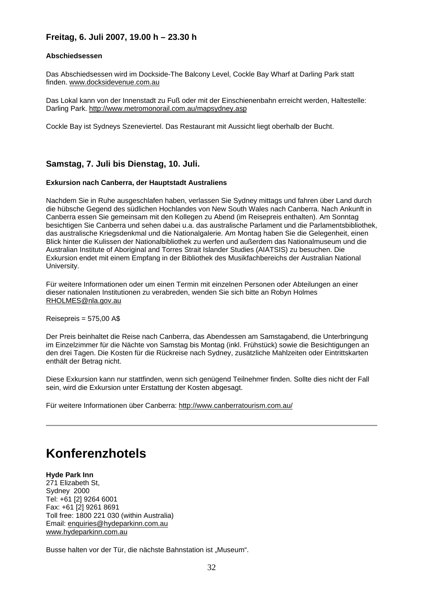## **Freitag, 6. Juli 2007, 19.00 h – 23.30 h**

#### **Abschiedsessen**

Das Abschiedsessen wird im Dockside-The Balcony Level, Cockle Bay Wharf at Darling Park statt finden. [www.docksidevenue.com.au](http://www.docksidevenue.com.au/)

Das Lokal kann von der Innenstadt zu Fuß oder mit der Einschienenbahn erreicht werden, Haltestelle: Darling Park.<http://www.metromonorail.com.au/mapsydney.asp>

Cockle Bay ist Sydneys Szeneviertel. Das Restaurant mit Aussicht liegt oberhalb der Bucht.

## **Samstag, 7. Juli bis Dienstag, 10. Juli.**

#### **Exkursion nach Canberra, der Hauptstadt Australiens**

Nachdem Sie in Ruhe ausgeschlafen haben, verlassen Sie Sydney mittags und fahren über Land durch die hübsche Gegend des südlichen Hochlandes von New South Wales nach Canberra. Nach Ankunft in Canberra essen Sie gemeinsam mit den Kollegen zu Abend (im Reisepreis enthalten). Am Sonntag besichtigen Sie Canberra und sehen dabei u.a. das australische Parlament und die Parlamentsbibliothek, das australische Kriegsdenkmal und die Nationalgalerie. Am Montag haben Sie die Gelegenheit, einen Blick hinter die Kulissen der Nationalbibliothek zu werfen und außerdem das Nationalmuseum und die Australian Institute of Aboriginal and Torres Strait Islander Studies (AIATSIS) zu besuchen. Die Exkursion endet mit einem Empfang in der Bibliothek des Musikfachbereichs der Australian National University.

Für weitere Informationen oder um einen Termin mit einzelnen Personen oder Abteilungen an einer dieser nationalen Institutionen zu verabreden, wenden Sie sich bitte an Robyn Holmes [RHOLMES@nla.gov.au](mailto:RHOLMES@nla.gov.au)

 $Reisepreis =  $575,00$  AS$ 

Der Preis beinhaltet die Reise nach Canberra, das Abendessen am Samstagabend, die Unterbringung im Einzelzimmer für die Nächte von Samstag bis Montag (inkl. Frühstück) sowie die Besichtigungen an den drei Tagen. Die Kosten für die Rückreise nach Sydney, zusätzliche Mahlzeiten oder Eintrittskarten enthält der Betrag nicht.

Diese Exkursion kann nur stattfinden, wenn sich genügend Teilnehmer finden. Sollte dies nicht der Fall sein, wird die Exkursion unter Erstattung der Kosten abgesagt.

Für weitere Informationen über Canberra: <http://www.canberratourism.com.au/>

# **Konferenzhotels**

**Hyde Park Inn**  271 Elizabeth St, Sydney 2000 Tel: +61 [2] 9264 6001 Fax: +61 [2] 9261 8691 Toll free: 1800 221 030 (within Australia) Email: [enquiries@hydeparkinn.com.au](mailto:enquiries@hydeparkinn.com.au) [www.hydeparkinn.com.au](http://www.hydeparkinn.com.au/)

Busse halten vor der Tür, die nächste Bahnstation ist "Museum".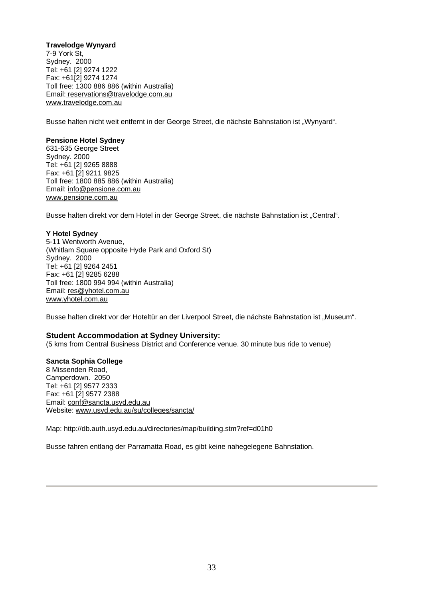#### **Travelodge Wynyard**

7-9 York St, Sydney. 2000 Tel: +61 [2] 9274 1222 Fax: +61[2] 9274 1274 Toll fr[ee: 1300 886 886 \(within Australia\)](mailto:reservations@travelodge.com.au) [Email:](http://www.travelodge.com.au/) [reservations@travelodge.com.au](mailto:reservations@travelodge.com.au) [www.travelodge.com.au](http://www.travelodge.com.au/)

Busse halten nicht weit entfernt in der George Street, die nächste Bahnstation ist "Wynyard".

#### **Pensione Hotel Sydney**

631-635 George Street Sydney. 2000 Tel: +61 [2] 9265 8888 Fax: +61 [2] 9211 9825 Toll free: 1800 885 886 (within Australia) Email: [info@pensione.com.au](mailto:info@pensione.com.au) [www.pensione.com.au](http://www.pensione.com.au/)

Busse halten direkt vor dem Hotel in der George Street, die nächste Bahnstation ist "Central".

#### **Y Hotel Sydney**

5-11 Wentworth Avenue, (Whitlam Square opposite Hyde Park and Oxford St) Sydney. 2000 Tel: +61 [2] 9264 2451 Fax: +61 [2] 9285 6288 Toll free: 1800 994 994 (within Australia) Email: [res@yhotel.com.au](mailto:res@yhotel.com.au) [www.yhotel.com.au](http://www.yhotel.com.au/) 

Busse halten direkt vor der Hoteltür an der Liverpool Street, die nächste Bahnstation ist "Museum".

#### **Student Accommodation at Sydney University:**

(5 kms from Central Business District and Conference venue. 30 minute bus ride to venue)

#### **Sancta Sophia College**

8 Missenden Road, Camperdown. 2050 Tel: +61 [2] 9577 2333 Fax: +61 [2] 9577 2388 Email: [conf@sancta.usyd.edu.au](mailto:conf@sancta.usyd.edu.au) Website: [www.usyd.edu.au/su/colleges/sancta/](http://www.usyd.edu.au/su/colleges/sancta/)

Map: <http://db.auth.usyd.edu.au/directories/map/building.stm?ref=d01h0>

Busse fahren entlang der Parramatta Road, es gibt keine nahegelegene Bahnstation.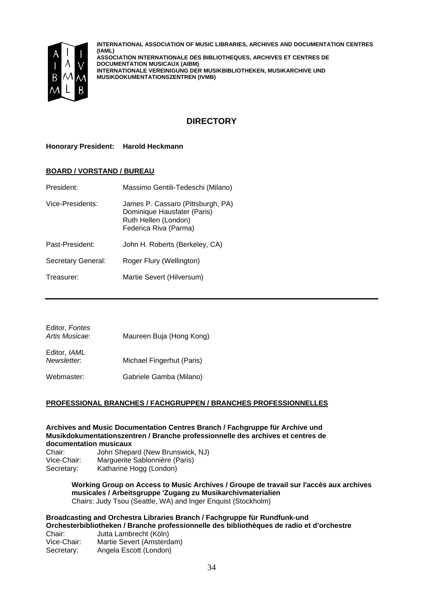

**INTERNATIONAL ASSOCIATION OF MUSIC LIBRARIES, ARCHIVES AND DOCUMENTATION CENTRES (IAML) ASSOCIATION INTERNATIONALE DES BIBLIOTHEQUES, ARCHIVES ET CENTRES DE DOCUMENTATION MUSICAUX (AIBM) INTERNATIONALE VEREINIGUNG DER MUSIKBIBLIOTHEKEN, MUSIKARCHIVE UND MUSIKDOKUMENTATIONSZENTREN (IVMB)**

## **DIRECTORY**

**Honorary President: Harold Heckmann** 

#### **BOARD / VORSTAND / BUREAU**

| President:         | Massimo Gentili-Tedeschi (Milano)                                                                                 |
|--------------------|-------------------------------------------------------------------------------------------------------------------|
| Vice-Presidents:   | James P. Cassaro (Pittsburgh, PA)<br>Dominique Hausfater (Paris)<br>Ruth Hellen (London)<br>Federica Riva (Parma) |
| Past-President:    | John H. Roberts (Berkeley, CA)                                                                                    |
| Secretary General: | Roger Flury (Wellington)                                                                                          |
| Treasurer:         | Martie Severt (Hilversum)                                                                                         |
|                    |                                                                                                                   |

| Editor, Fontes<br>Artis Musicae: | Maureen Buja (Hong Kong)  |
|----------------------------------|---------------------------|
| Editor, IAML<br>Newsletter.      | Michael Fingerhut (Paris) |
| Webmaster:                       | Gabriele Gamba (Milano)   |

#### **PROFESSIONAL BRANCHES / FACHGRUPPEN / BRANCHES PROFESSIONNELLES**

#### **Archives and Music Documentation Centres Branch / Fachgruppe für Archive und Musikdokumentationszentren / Branche professionnelle des archives et centres de documentation musicaux**

Chair: John Shepard (New Brunswick, NJ) Vice-Chair: Marguerite Sablonnière (Paris) Secretary: Katharine Hogg (London)

> **Working Group on Access to Music Archives / Groupe de travail sur l'accès aux archives musicales / Arbeitsgruppe 'Zugang zu Musikarchivmaterialien**  Chairs: Judy Tsou (Seattle, WA) and Inger Enquist (Stockholm)

## **Broadcasting and Orchestra Libraries Branch / Fachgruppe für Rundfunk-und Orchesterbibliotheken / Branche professionnelle des bibliothèques de radio et d'orchestre**

Chair: Jutta Lambrecht (Köln) Vice-Chair: Martie Severt (Amsterdam) Secretary: Angela Escott (London)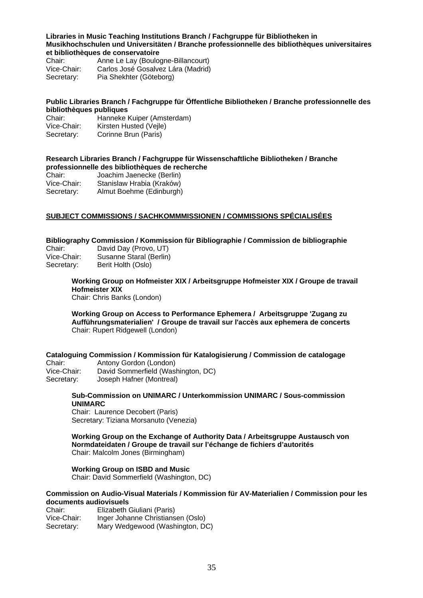#### **Libraries in Music Teaching Institutions Branch / Fachgruppe für Bibliotheken in Musikhochschulen und Universitäten / Branche professionnelle des bibliothèques universitaires et bibliothèques de conservatoire**

Chair: Anne Le Lay (Boulogne-Billancourt)<br>Vice-Chair: Carlos José Gosalvez Lára (Madrid) Carlos José Gosalvez Lára (Madrid) Secretary: Pia Shekhter (Göteborg)

#### **Public Libraries Branch / Fachgruppe für Öffentliche Bibliotheken / Branche professionnelle des bibliothèques publiques**

| Chair:      | Hanneke Kuiper (Amsterdam) |
|-------------|----------------------------|
| Vice-Chair: | Kirsten Husted (Vejle)     |
| Secretary:  | Corinne Brun (Paris)       |

#### **Research Libraries Branch / Fachgruppe für Wissenschaftliche Bibliotheken / Branche professionnelle des bibliothèques de recherche**

| Chair:      | Joachim Jaenecke (Berlin) |
|-------------|---------------------------|
| Vice-Chair: | Stanislaw Hrabia (Kraków) |
| Secretary:  | Almut Boehme (Edinburgh)  |

### **SUBJECT COMMISSIONS / SACHKOMMMISSIONEN / COMMISSIONS SPÉCIALISÉES**

#### **Bibliography Commission / Kommission für Bibliographie / Commission de bibliographie**

| Chair:      | David Day (Provo, UT)   |
|-------------|-------------------------|
| Vice-Chair: | Susanne Staral (Berlin) |
| Secretary:  | Berit Holth (Oslo)      |

## **Working Group on Hofmeister XIX / Arbeitsgruppe Hofmeister XIX / Groupe de travail Hofmeister XIX**

Chair: Chris Banks (London)

**Working Group on Access to Performance Ephemera / Arbeitsgruppe 'Zugang zu Aufführungsmaterialien' / Groupe de travail sur l'accès aux ephemera de concerts**  Chair: Rupert Ridgewell (London)

**Cataloguing Commission / Kommission für Katalogisierung / Commission de catalogage**  Chair: Antony Gordon (London)

Vice-Chair: David Sommerfield (Washington, DC) Secretary: Joseph Hafner (Montreal)

#### **Sub-Commission on UNIMARC / Unterkommission UNIMARC / Sous-commission UNIMARC**

Chair: Laurence Decobert (Paris) Secretary: Tiziana Morsanuto (Venezia)

**Working Group on the Exchange of Authority Data / Arbeitsgruppe Austausch von Normdateidaten / Groupe de travail sur l'échange de fichiers d'autorités**  Chair: Malcolm Jones (Birmingham)

#### **Working Group on ISBD and Music**

Chair: David Sommerfield (Washington, DC)

#### **Commission on Audio-Visual Materials / Kommission für AV-Materialien / Commission pour les documents audiovisuels**

Chair: Elizabeth Giuliani (Paris) Vice-Chair: Inger Johanne Christiansen (Oslo) Secretary: Mary Wedgewood (Washington, DC)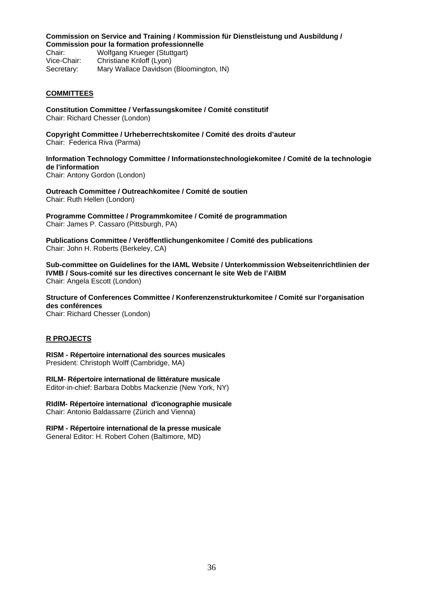#### **Commission on Service and Training / Kommission für Dienstleistung und Ausbildung / Commission pour la formation professionnelle**

Chair: Wolfgang Krueger (Stuttgart) Vice-Chair: Christiane Kriloff (Lyon) Secretary: Mary Wallace Davidson (Bloomington, IN)

### **COMMITTEES**

**Constitution Committee / Verfassungskomitee / Comité constitutif**  Chair: Richard Chesser (London)

**Copyright Committee / Urheberrechtskomitee / Comité des droits d'auteur**  Chair: Federica Riva (Parma)

**Information Technology Committee / Informationstechnologiekomitee / Comité de la technologie de l'information**  Chair: Antony Gordon (London)

**Outreach Committee / Outreachkomitee / Comité de soutien**  Chair: Ruth Hellen (London)

**Programme Committee / Programmkomitee / Comité de programmation**  Chair: James P. Cassaro (Pittsburgh, PA)

**Publications Committee / Veröffentlichungenkomitee / Comité des publications**  Chair: John H. Roberts (Berkeley, CA)

**Sub-committee on Guidelines for the IAML Website / Unterkommission Webseitenrichtlinien der IVMB / Sous-comité sur les directives concernant le site Web de l'AIBM**  Chair: Angela Escott (London)

**Structure of Conferences Committee / Konferenzenstrukturkomitee / Comité sur l'organisation des conférences** 

Chair: Richard Chesser (London)

#### **R PROJECTS**

**RISM - Répertoire international des sources musicales**  President: Christoph Wolff (Cambridge, MA)

**RILM- Répertoire international de littérature musicale**  Editor-in-chief: Barbara Dobbs Mackenzie (New York, NY)

**RIdIM- Répertoire international d'iconographie musicale**  Chair: Antonio Baldassarre (Zürich and Vienna)

**RIPM - Répertoire international de la presse musicale**  General Editor: H. Robert Cohen (Baltimore, MD)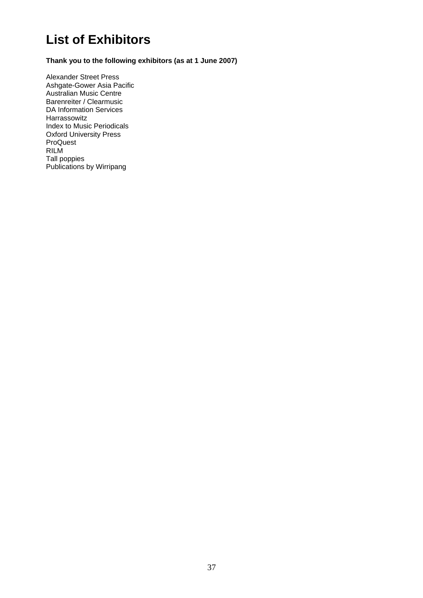# **List of Exhibitors**

**Thank you to the following exhibitors (as at 1 June 2007)** 

Alexander Street Press Ashgate-Gower Asia Pacific Australian Music Centre Barenreiter / Clearmusic DA Information Services Harrassowitz Index to Music Periodicals Oxford University Press ProQuest RILM Tall poppies Publications by Wirripang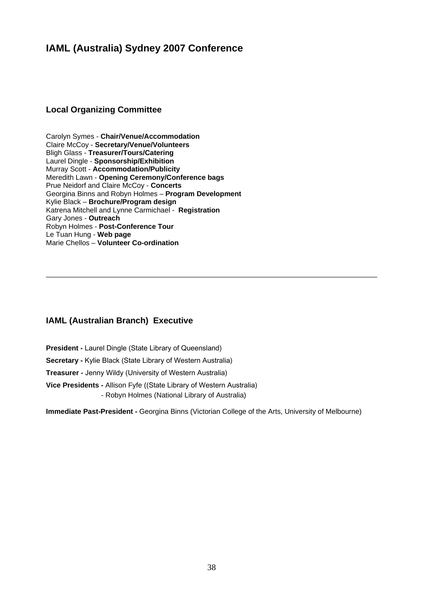## **IAML (Australia) Sydney 2007 Conference**

## **Local Organizing Committee**

Carolyn Symes - **Chair/Venue/Accommodation**  Claire McCoy - **Secretary/Venue/Volunteers**  Bligh Glass - **Treasurer/Tours/Catering** Laurel Dingle - **Sponsorship/Exhibition** Murray Scott - **Accommodation/Publicity** Meredith Lawn - **Opening Ceremony/Conference bags** Prue Neidorf and Claire McCoy - **Concerts** Georgina Binns and Robyn Holmes – **Program Development**  Kylie Black – **Brochure/Program design** Katrena Mitchell and Lynne Carmichael - **Registration** Gary Jones - **Outreach**  Robyn Holmes - **Post-Conference Tour** Le Tuan Hung - **Web page** Marie Chellos – **Volunteer Co-ordination** 

## **IAML (Australian Branch) Executive**

**President -** Laurel Dingle (State Library of Queensland)

**Secretary -** Kylie Black (State Library of Western Australia)

**Treasurer -** Jenny Wildy (University of Western Australia)

**Vice Presidents -** Allison Fyfe ((State Library of Western Australia) - Robyn Holmes (National Library of Australia)

**Immediate Past-President -** Georgina Binns (Victorian College of the Arts, University of Melbourne)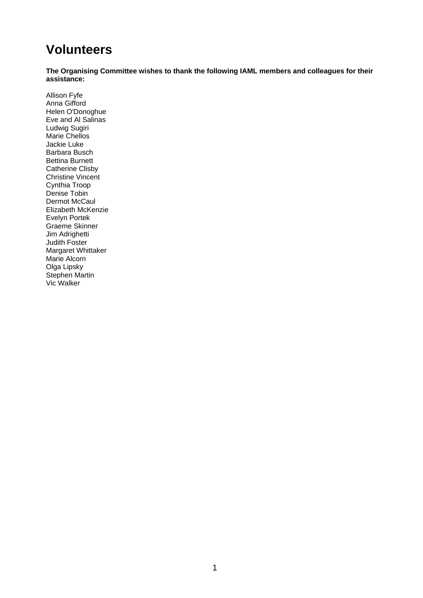# **Volunteers**

**The Organising Committee wishes to thank the following IAML members and colleagues for their assistance:** 

Allison Fyfe Anna Gifford Helen O'Donoghue Eve and Al Salinas Ludwig Sugiri Marie Chellos Jackie Luke Barbara Busch Bettina Burnett Catherine Clisby Christine Vincent Cynthia Troop Denise Tobin Dermot McCaul Elizabeth McKenzie Evelyn Portek Graeme Skinner Jim Adrighetti Judith Foster Margaret Whittaker Marie Alcorn Olga Lipsky Stephen Martin Vic Walker